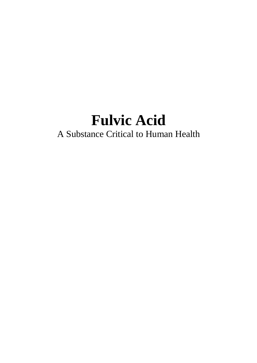# **Fulvic Acid**

## A Substance Critical to Human Health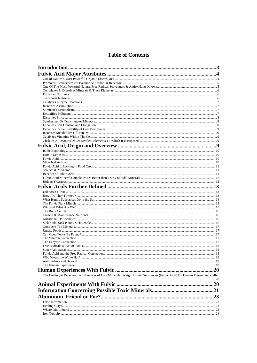## **Table of Contents**

| The Healing & Regenerative Influences of Low Molecular Weight Humic Substances (Fulvic Acid) On Human Tissues and Cells |  |
|-------------------------------------------------------------------------------------------------------------------------|--|
|                                                                                                                         |  |
|                                                                                                                         |  |
|                                                                                                                         |  |
|                                                                                                                         |  |
|                                                                                                                         |  |
|                                                                                                                         |  |
|                                                                                                                         |  |
|                                                                                                                         |  |
|                                                                                                                         |  |
|                                                                                                                         |  |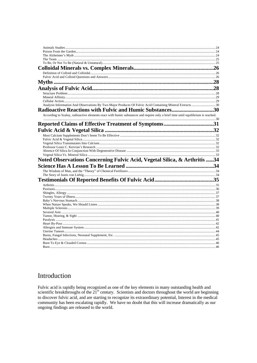| Analysis Information And Observations By Two Major Produces Of Fulvic Acid Containing Mineral Extracts 30                         |  |
|-----------------------------------------------------------------------------------------------------------------------------------|--|
| Radioactive Reactions with Fulvic and Humic Substances30                                                                          |  |
| According to Szaloy, radioactive elements react with humic substances and require only a brief time until equilibrium is reached. |  |
|                                                                                                                                   |  |
|                                                                                                                                   |  |
|                                                                                                                                   |  |
|                                                                                                                                   |  |
|                                                                                                                                   |  |
|                                                                                                                                   |  |
|                                                                                                                                   |  |
|                                                                                                                                   |  |
|                                                                                                                                   |  |
|                                                                                                                                   |  |
| Noted Observations Concerning Fulvic Acid, Vegetal Silica, & Arthritis 34                                                         |  |
|                                                                                                                                   |  |
|                                                                                                                                   |  |
|                                                                                                                                   |  |
|                                                                                                                                   |  |
|                                                                                                                                   |  |
|                                                                                                                                   |  |
|                                                                                                                                   |  |
|                                                                                                                                   |  |
|                                                                                                                                   |  |
|                                                                                                                                   |  |
|                                                                                                                                   |  |
|                                                                                                                                   |  |
|                                                                                                                                   |  |
|                                                                                                                                   |  |
|                                                                                                                                   |  |
|                                                                                                                                   |  |
|                                                                                                                                   |  |
|                                                                                                                                   |  |
|                                                                                                                                   |  |
|                                                                                                                                   |  |

## Introduction

Fulvic acid is rapidly being recognized as one of the key elements in many outstanding health and<br>scientific breakthroughs of the 21<sup>st</sup> century. Scientists and doctors throughout the world are beginning to discover fulvic acid, and are starting to recognize its extraordinary potential, Interest in the medical community has been escalating rapidly. We have no doubt that this will increase dramatically as our ongoing findings are released to the world.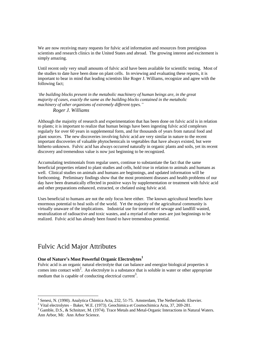We are now receiving many requests for fulvic acid information and resources from prestigious scientists and research clinics in the United States and abroad. The growing interest and excitement is simply amazing.

Until recent only very small amounts of fulvic acid have been available for scientific testing. Most of the studies to date have been done on plant cells. In reviewing and evaluating these reports, it is important to bear in mind that leading scientists like Roger J. Williams, recognize and agree with the following fact;

*'the building blocks present in the metabolic machinery of human beings are, in the great majority of cases, exactly the same as the building blocks contained in the metabolic machinery of other organisms of extremely different types." Roger J. Williams*

Although the majority of research and experimentation that has been done on fulvic acid is in relation to plants; it is important to realize that human beings have been ingesting fulvic acid complexes regularly for over 60 years in supplemental form, and for thousands of years from natural food and plant sources. The new discoveries involving fulvic acid are very similar in nature to the recent important discoveries of valuable phytochemicals in vegetables that have always existed, but were hitherto unknown. Fulvic acid has always occurred naturally in organic plants and soils, yet its recent discovery and tremendous value is now just beginning to be recognized.

Accumulating testimonials from regular users, continue to substantiate the fact that the same beneficial properties related to plant studies and cells, hold true in relation to animals and humans as well. Clinical studies on animals and humans are beginnings, and updated information will be forthcoming. Preliminary findings show that the most prominent diseases and health problems of our day have been dramatically effected in positive ways by supplementation or treatment with fulvic acid and other preparations enhanced, extracted, or chelated using fulvic acid.

Uses beneficial to humans are not the only focus here either. The known agricultural benefits have enormous potential to heal soils of the world. Yet the majority of the agricultural community is virtually unaware of the implications. Industrial use for treatment of sewage and landfill wasted, neutralization of radioactive and toxic wastes, and a myriad of other uses are just beginnings to be realized. Fulvic acid has already been found to have tremendous potential.

## Fulvic Acid Major Attributes

1

#### **One of Nature's Most Powerful Organic Electrolytes<sup>1</sup>**

Fulvic acid is an organic natural electrolyte that can balance and energize biological properties it comes into contact with<sup>2</sup>. An electrolyte is a substance that is soluble in water or other appropriate medium that is capable of conducting electrical current<sup>3</sup>.

<sup>&</sup>lt;sup>1</sup> Senesi, N. (1990). Analytica Chimica Acta, 232, 51-75. Amsterdam, The Netherlands: Elsevier.

<sup>&</sup>lt;sup>2</sup> Vital electrolytes – Baker, W.E. (1973). Geochimica et Cosmochimica Acta, 37, 269-281.

<sup>&</sup>lt;sup>3</sup> Gamble, D.S., & Schnitzer, M. (1974). Trace Metals and Metal-Organic Interactions in Natural Waters. Ann Arbor, Mi: Ann Arbor Science.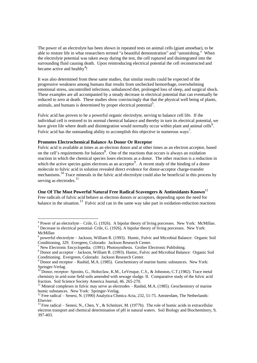The power of an electrolyte has been shown in repeated tests on animal cells (giant amoebae), to be able to restore life in what researchers termed "a beautiful demonstration" and "astonishing." When the electrolyte potential was taken away during the test, the cell ruptured and disintegrated into the surrounding fluid causing death. Upon reintroducing electrical potential the cell reconstructed and became active and healthy<sup>4</sup>!

It was also determined from these same studies, that similar results could be expected of the progressive weakness among humans that results from unchecked hemorrhage, overwhelming emotional stress, uncontrolled infections, unbalanced diet, prolonged loss of sleep, and surgical shock. These examples are all accompanied by a steady decrease in electrical potential that can eventually be reduced to zero at death. These studies show convincingly that that the physical well being of plants, animals, and humans is determined by proper electrical potential<sup>5</sup>.

Fulvic acid has proven to be a powerful organic electrolyte, serving to balance cell life. If the individual cell is restored to its normal chemical balance and thereby in turn its electrical potential, we have given life where death and disintegration would normally occur within plant and animal cells<sup>6</sup>. Fulvic acid has the outstanding ability to accomplish this objective in numerous ways<sup>7</sup>.

#### **Promotes Electrochemical Balance As Donor Or Receptor**

Fulvic acid is available at times as an electron donor and at other times as an electron acceptor, based on the cell's requirements for balance<sup>8</sup>. One of the reactions that occurs is always an oxidation reaction in which the chemical species loses electrons as a donor. The other reaction is a reduction in which the active species gains electrons as an acceptor<sup>9</sup>. A recent study of the binding of a donor molecule to fulvic acid in solution revealed direct evidence for donor-acceptor charge-transfer mechanisms.10 Trace minerals in the fulvic acid electrolyte could also be beneficial in this process by serving as electrodes.<sup>11</sup>

#### **One Of The Most Powerful Natural Free Radical Scavengers & Antioxidants Known**<sup>12</sup>

Free radicals of fulvic acid behave as electron donors or acceptors, depending upon the need for balance in the situation.<sup>13</sup> Fulvic acid can in the same way take part in oxidation-reduction reactions

-

 $4$  Power of an electorlyte – Crile, G. (1926). A bipolar theory of living porcesses. New York: McMillan. <sup>5</sup> Decrease in electrical potential- Crile, G. (1926). A bipolar theory of living porcesses. New York:

McMillan

<sup>&</sup>lt;sup>6</sup> powerful electrolyte – Jackson, William R. (1993). Humic, Fulvic and Microbial Balance: Organic Soil Conditioning, 329. Evergeen, Colorado: Jackson Research Center.

<sup>&</sup>lt;sup>7</sup> New Electronic Encyclopedia. (1991). Photosynthesis. Grolier Electronic Publishing.

<sup>&</sup>lt;sup>8</sup> Donor and acceptor – Jackson, William R. (1993). Humic, Fulvic and Microbial Balance: Organic Soil Conditioning. Evergreen, Colorado: Jackson Research Center.

 $9$  Donor and receptor – Rashid, M.A. (1985). Geochemistry of marine humic substances. New York: Springer-Verlag.

<sup>10</sup> Donor, receptor- Sposito, G., Holtzclaw, K.M., LeVesque, C.S., & Johnston, C.T.(1982). Trace metal chemistry in arid-zone field soils amended with sewage sludge. II. Comparative study of the fulvic acid fraction. Soil Science Society America Journal, 46. 265-270.

 $<sup>11</sup>$  Mineral complexes in fulvic may serve as electrodes – Rashid, M.A. (1985). Geochemistry of marine</sup> humic substances. New York: Springer-Verlag.

<sup>&</sup>lt;sup>12</sup> Free radical – Senesi, N. (1990) Analytica Chmica Acta, 232, 51-75. Amsterdam, The Netherlands: Elsevier.

<sup>&</sup>lt;sup>13</sup> Free radical – Senesi, N., Chen, Y., & Schnitzer, M. (1977b). The role of humic acids in extracellular electron transport and chemical determination of pH in natural waters. Soil Biology and Biochemitstry, 9, 397-403.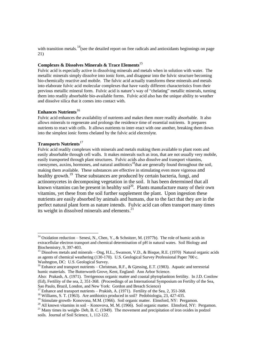with transition metals.<sup>14</sup>(see the detailed report on free radicals and antioxidants beginnings on page 21)

#### **Complexes & Dissolves Minerals & Trace Elements**<sup>15</sup>

Fulvic acid is especially active in dissolving minerals and metals when in solution with water. The metallic minerals simply dissolve into ionic form, and disappear into the fulvic structure becoming bio-chemically reactive and mobile. The fulvic acid actually transforms these minerals and metals into elaborate fulvic acid molecular complexes that have vastly different characteristics from their previous metallic mineral form. Fulvic acid is nature's way of "chelating" metallic minerals, turning them into readily absorbable bio-available forms. Fulvic acid also has the unique ability to weather and dissolve silica that it comes into contact with.

#### **Enhances Nutrients**<sup>16</sup>

Fulvic acid enhances the availability of nutrients and makes them more readily absorbable. It also allows minerals to regenerate and prolongs the residence time of essential nutrients. It prepares nutrients to react with cells. It allows nutrients to inter-react with one another, breaking them down into the simplest ionic forms chelated by the fulvic acid electrolyte.

#### **Transports Nutrients**<sup>17</sup>

-

Fulvic acid readily complexes with minerals and metals making them available to plant roots and easily absorbable through cell walls. It makes minerals such as iron, that are not usually very mobile, easily transported through plant structures. Fulvic acids also dissolve and transport vitamins, coenzymes, auxins, hormones, and natural antibiotics<sup>18</sup>that are generally found throughout the soil, making them available. These substances are effective in stimulating even more vigorous and healthy growth.<sup>19</sup> These substances are produced by certain bacteria, fungi, and actinomycetes in decomposing vegetation in the soil. It has been determined that all known vitamins can be present in healthy soil<sup>20</sup>. Plants manufacture many of their own vitamins, yet these from the soil further supplement the plant. Upon ingestion these nutrients are easily absorbed by animals and humans, due to the fact that they are in the perfect natural plant form as nature intends. Fulvic acid can often transport many times its weight in dissolved minerals and elements.<sup>21</sup>

<sup>&</sup>lt;sup>14</sup> Oxidation reduction – Senesi, N., Chen, Y., & Schnitzer, M. (1977b). The role of humic acids in extracellular electron transport and chemical determination of pH in natural wates. Soil Biology and Biochemistry, 9, 397-403.

<sup>&</sup>lt;sup>15</sup> Dissolves metals and minerals – Ong, H.L., Swanson, V.D., & Bisque, R.E. (1970) Natural organic acids as agents of chemical weathering (130-170). U.S. Geological Survey Professional Paper 700 c. Washngton, DC: U.S. Geological Survey.

<sup>&</sup>lt;sup>16</sup> Enhance and transport nutrients – Christman, R.F., & Gjessing, E.T. (1983). Aquatic and terrestrial humic materials. The Butterworth Grove, Kent, England: Ann Arbor Science.

Also: Prakash, A. (1971). Terrigenous organic matter and coastal phytoplankton fertility. In J.D. Costlow (Ed), Fertility of the sea, 2, 351-368. (Proceedings of an International Symposium on Fertilty of the Sea, Sao Paulo, Brazil, London, and New York: Gordon and Breach Science)

<sup>&</sup>lt;sup>17</sup> Enhance and transport nutrients – Prakish, A. (1971). Fertility of the Sea, 2, 351-368.

<sup>&</sup>lt;sup>18</sup> Williams, S. T. (1963). Are antibiotics produced in soil? Pedobiologia,  $23,427-435$ .

<sup>&</sup>lt;sup>19</sup> Stimulate growth- Konovona, M.M. (1966). Soil organic matter. Elmsford, NY: Pergamon.

<sup>&</sup>lt;sup>20</sup> All known vitamins in soil – Konovova, M. M. (1966). Soil organic matter. Elmsford, NY: Pergamon. <sup>21</sup> Many times its weight- Deb, B. C. (1949). The movement and precipitation of iron oxides in podzol

soils. Journal of Soil Science, 1, 112-122.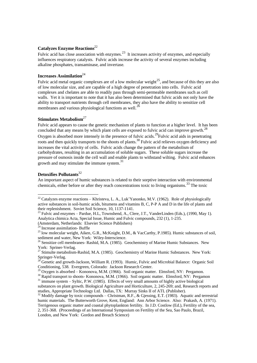## **Catalyzes Enzyme Reactions**<sup>22</sup>

Fulvic acid has close association with enzymes.<sup>23</sup> It increases activity of enzymes, and especially influences respiratory catalysts. Fulvic acids increase the activity of several enzymes including alkaline phosphates, transaminase, and invertase.

## **Increases Assimilation**<sup>24</sup>

Fulvic acid metal organic complexes are of a low molecular weight $^{25}$ , and because of this they are also of low molecular size, and are capable of a high degree of penetration into cells. Fulvic acid complexes and chelates are able to readily pass through semi-permeable membranes such as cell walls. Yet it is important to note that it has also been determined that fulvic acids not only have the ability to transport nutrients through cell membranes, they also have the ability to sensitize cell membranes and various physiological functions as well.<sup>26</sup>

#### **Stimulates Metabolism**<sup>27</sup>

Fulvic acid appears to cause the genetic mechanism of plants to function at a higher level. It has been concluded that any means by which plant cells are exposed to fulvic acid can improve growth.<sup>28</sup> Oxygen is absorbed more intensely in the presence of fulvic acids.<sup>29</sup>Fulvic acid aids in penetrating roots and then quickly transports to the shoots of plants.<sup>30</sup> Fulvic acid relieves oxygen deficiency and increases the vital activity of cells. Fulvic acids change the pattern of the metabolism of carbohydrates, resulting in an accumulation of soluble sugars. These soluble sugars increase the pressure of osmosis inside the cell wall and enable plants to withstand wilting. Fulvic acid enhances growth and may stimulate the immune system.<sup>31</sup>

#### **Detoxifies Pollutants**<sup>32</sup>

 $\overline{a}$ 

An important aspect of humic substances is related to their sorptive interaction with environmental chemicals, either before or after they reach concentrations toxic to living organisms.<sup>33</sup> The toxic

<sup>&</sup>lt;sup>22</sup> Catalyzes enzyme reactions – Khristeva, L. A., Luk'Yanonko, M.V. (1962). Role of physiologically active substances in soil-humic acids, bitumens and vitamins B, C, P-P A and D in the life of plants and their replenishment. Soviet Soil Science, 10, 1137-1141.

 $^{23}$  Fulvic and enzymes – Pardue, H.L, Townshend, A., Clere, J.T., VanderLinden (Eds.), (1990, May 1). Analytica chimica Acta, Special Issue, Humic and Fulvic compounds, 232 (1), 1-235. (Amsterdam, Netherlands: Elsevier Science Publishers)

Increase assimilation- Buffle

<sup>&</sup>lt;sup>25</sup> low molecular weight, Aiken, G.R., McKnight, D.M., & VacCarthy, P.1985). Humic substances of soil, sediment and water, New York: Wiley-Interscience.

<sup>&</sup>lt;sup>26</sup> Sensitize cell membranes- Rashid, M.A. (1985). Geochemistry of Marine Humic Substances. New York: Spriner-Verlag.

<sup>&</sup>lt;sup>27</sup> Stimulte metabolism-Rashid, M.A. (1985). Geochemistry of Marine Humic Substances. New York: Springer-Verlag.

<sup>28</sup> Genetic and growth-Jackson, William R. (1993). Humic, Fulvic and Microbial Balance: Organic Soil Conditioning, 538. Evergreen, Colorado: Jackson Research Center.

 $^{29}$  Oxygen is absorbed – Kononova, M.M. (1966). Soil organic matter. Elmsford, NY: Pergamon.

<sup>&</sup>lt;sup>30</sup> Rapid transport to shoots- Kononova, M.M. (1966). Soil organic matter. Elmsford, NY: Pergamon

 $31$  immune system – Syltic, P.W. (1985). Effects of very small amounts of highly active biological substances on plant growth. Biological Agriculture and Horticulture, 2, 245-269; and, Research reports and studies, Appropriate Technology Ltd. Dallas, TX: Murray Sinks II of ATL (Publisher).

<sup>&</sup>lt;sup>2</sup> Modify damage by toxic compounds – Christman, R.F., & Gjessing, E.T. (1983). Aquatic and terrestrial humic materials. The Butterworth Grove, Kent, England: Ann Arbor Science. Also: Prakash, A. (1971). Terrigenous organic matter and coastal phytoplankton fertility. In J.D. Costlow (Ed.), Fertility of the sea, 2, 351-368. (Proceedings of an International Symposium on Fertility of the Sea, Sao Paulo, Brazil, London, and New York: Gordon and Breach Science)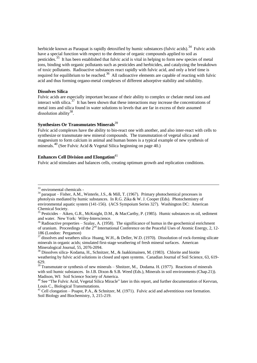herbicide known as Paraquat is rapidly detoxified by humic substances (fulvic acids).<sup>34</sup> Fulvic acids have a special function with respect to the demise of organic compounds applied to soil as pesticides.<sup>35</sup> It has been established that fulvic acid is vital in helping to form new species of metal ions, binding with organic pollutants such as pesticides and herbicides, and catalyzing the breakdown of toxic pollutants. Radioactive substances react rapidly with fulvic acid, and only a brief time is required for equilibrium to be reached.<sup>36</sup> All radioactive elements are capable of reacting with fulvic acid and thus forming organo-metal complexes of different adsorptive stability and solubility.

#### **Dissolves Silica**

Fulvic acids are especially important because of their ability to complex or chelate metal ions and interact with silica.<sup>37</sup> It has been shown that these interactions may increase the concentrations of metal ions and silica found in water solutions to levels that are far in excess of their assumed dissolution ability $38$ .

#### **Synthesizes Or Transmutates Minerals**<sup>39</sup>

Fulvic acid complexes have the ability to bio-react one with another, and also inter-react with cells to synthesize or transmutate new mineral compounds. The transmutation of vegetal silica and magnesium to form calcium in animal and human bones is a typical example of new synthesis of minerals. <sup>40</sup> (See Fulvic Acid & Vegetal Silica beginning on page 40.)

#### **Enhances Cell Division and Elongation**<sup>41</sup>

Fulvic acid stimulates and balances cells, creating optimum growth and replication conditions.

1

<sup>37</sup> dissolves and weathers silica- Huang, W.H., & Deller, W.D. (1970). Dissolution of rock-forming silicate minerals in organic acids; simulated first-stage weathering of fresh mineral surfaces. American Mineralogical Journal, 55, 2076-2094.

<sup>38</sup> Dissolves silica- Kodama, H., Schnitzer, M., & Jaakkimainen, M. (1983). Chlorite and biotite weathering by fulvic acid solutions in closed and open systems. Canadian Journal of Soil Science, 63, 619- 629.

<sup>39</sup> Transmutate or synthesis of new minerals – Shnitzer, M., Dodama. H. (1977). Reactions of minerals with soil humic substances. In J.B. Dixon & S.B. Weed (Eds.), Minerals in soil environments (Chap.21)). Madison, WI: Soil Science Society of America.

<sup>41</sup> Cell clongation – Poapst, P.A., & Schnitzer, M. (1971). Fulvic acid and adventitious root formation. Soil Biology and Biochemistry, 3, 215-219.

<sup>33</sup> enviromental chemicals -

<sup>34</sup> paraquat – Fisher, A.M., Winterle, J.S., & Mill, T. (1967). Primary photochemical processes in photolysis mediated by humic substances. In R.G. Zika & W. J. Cooper (Eds). Photochemistry of environmental aquatic system (141-156). (ACS Sympoium Series 327). Washington DC: American Chemical Society.

<sup>35</sup> Pesticides – Aiken, G.R., McKnight, D.M., & MacCarthy, P. (1985). Humic substances os oil, sediment and water. New York: Wiley-Interscience.

 $36$  Radioactive properties – Szalay, A. (1958). The signifiicance of humus in the geochemical enrichment of uranium. Proceedings of the  $2<sup>nd</sup>$  International Conference on the Peaceful Uses of Atomic Energy, 2, 12-186 (London: Pergamon)

<sup>&</sup>lt;sup>40</sup> See "The Fulvic Acid, Vegetal Silica Miracle" later in this report, and further documentation of Kervran, Louis C., Biological Transmutations.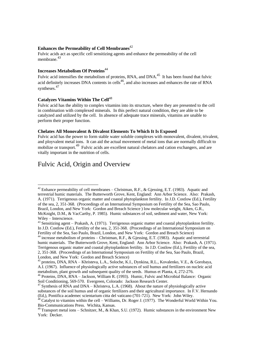#### **Enhances the Permeability of Cell Membranes**<sup>42</sup>

Fulvic acids act as specific cell sensitizing agents and enhance the permeability of the cell membrane.<sup>43</sup>

#### **Increases Metabolism Of Proteins**<sup>44</sup>

Fulvic acid intensifies the metabolism of proteins, RNA, and DNA.<sup>45</sup> It has been found that fulvic acid definitely increases DNA contents in cells<sup>46</sup>, and also increases and enhances the rate of RNA syntheses.<sup>47</sup>

#### **Catalyzes Vitamins Within The Cell**<sup>48</sup>

Fulvic acid has the ability to complex vitamins into its structure, where they are presented to the cell in combination with complexed minerals. In this perfect natural condition, they are able to be catalyzed and utilized by the cell. In absence of adequate trace minerals, vitamins are unable to perform their proper function.

#### **Chelates All Monovalent & Divalent Elements To Which It Is Exposed**

Fulvic acid has the power to form stable water soluble complexes with monovalent, divalent, trivalent, and ployvalent metal ions. It can aid the actual movement of metal ions that are normally difficult to mobilize or transport.<sup>49</sup> Fulvic acids are excellent natural chelators and cation exchangers, and are vitally important in the nutrition of cells.

## Fulvic Acid, Origin and Overview

<sup>1</sup> <sup>42</sup> Enhance permeability of cell membranes – Christman, R.F., & Gjessing, E.T. (1983). Aquatic and terrestrial humic materials. The Butterworth Grove, Kent, England: Ann Arbor Science. Also: Prakash, A. (1971). Terrigenous organic matter and coastal phytoplankton fertility. In J.D. Costlow (Ed.), Fertility of the sea, 2, 351-368. (Proceedings of an International Symposium on Fertility of the Sea, Sao Paulo, Brazil, London, and New York: Gordon and Breach Science ) low molecular weight, Aiken, G.R., McKnight, D.M., & VacCarthy, P. 1985). Humic substances of soil, sediment and water, New York: Wiley – Interscience.

<sup>&</sup>lt;sup>43</sup> Sensitizing agent – Prakash, A. (1971). Terrigenous organic matter and coastal phytoplankton fertility. In J.D. Costlow (Ed.), Fertility of the sea, 2, 351-368. (Proceedings of an International Symposium on Fertility of the Sea, Sao Paulo, Brazil, London, and New York: Gordon and Breach Science)

<sup>&</sup>lt;sup>44</sup> increase metabolism of proteins – Christman, R.F., & Gjessing, E.T. (1983). Aquatic and terrestrial humic materials. The Butterworth Grove, Kent, England: Ann Arbor Science. Also: Prakash, A. (1971). Terrigenous organic matter and coastal phytoplankton fertility. In J.D. Costlow (Ed.), Fertility of the sea, 2, 351-368. (Proceedings of an International Symposium on Fertility of the Sea, Sao Paulo, Brazil, London, and New York: Gordon and Breach Science)

<sup>45</sup> proteins, DNA, RNA – Khristeva, L.A., Soloche, K.I., Dynkina, R.L., Kovalenko, V.E., & Gorobaya, A.I. (1967). Influence of physiologically active substances of soil humus and fertilizers on nucleic acid metabolism, plant growth and subsequent quality of the seeds. Humus et Planta, 4, 272-276.

<sup>46</sup> Proteins, DNA, RNA – Jackson, William R. (1993). Humic, Fulvic and Microbial Balance: Organic Soil Conditioning, 569-570. Evergreen, Colorado: Jackson Research Center.

<sup>47</sup> Synthesis of RNA and DNA – Khristeva, L.A. (1968). About the nature of physiologically active substances of the soil humus and of organic fertilizers and their agricultural importance. In F.V. Hernando (Ed,), Pontifica academec scientarium citta del vaticano (701-721). New York: John Wiley.

 $48$  Catalyst to vitamins within the cell – Williams, Dr. Roger J. (1977). The Wonderful World Within You. Bio-Communications Press. Wichita, Kansas.

 $^{49}$  Transport metal ions – Schnitzer, M., & Khan, S.U. (1972). Humic substances in the environment New York: Decker.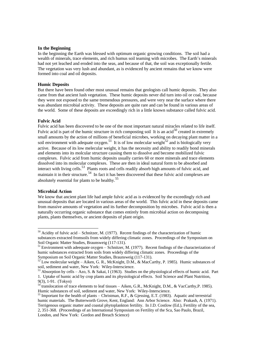#### **In the Beginning**

In the beginning the Earth was blessed with optimum organic growing conditions. The soil had a wealth of minerals, trace elements, and rich humus soil teaming with microbes. The Earth's minerals had not yet leached and eroded into the seas, and because of that, the soil was exceptionally fertile. The vegetation was very lush and abundant, as is evidenced by ancient remains that we know were formed into coal and oil deposits.

#### **Humic Deposits**

But there have been found other most unusual remains that geologists call humic deposits. They also came from that ancient lush vegetation. These humic deposits never did turn into oil or coal, because they were not exposed to the same tremendous pressures, and were very near the surface where there was abundant microbial activity. These deposits are quite rare and can be found in various areas of the world. Some of these deposits are exceedingly rich in a little known substance called fulvic acid.

#### **Fulvic Acid**

Fulvic acid has been discovered to be one of the most important natural miracles related to life itself. Fulvic acid is part of the humic structure in rich composting soil It is an acid<sup>50</sup> created in extremely small amounts by the action of millions of beneficial microbes, working on decaying plant matter in a soil environment with adequate oxygen.<sup>51</sup> It is of low molecular weight<sup>52</sup> and is biologically very active. Because of its low melecular weight, it has the necessity and ability to readily bond minerals and elements into its molcular structure causing them to dissolve and become mobilized fulvic complexes. Fulvic acid from humic deposits usually carries 60 or more minerals and trace elements dissolved into its molecular complexes. These are then in ideal natural form to be absorbed and interact with living cells.<sup>53</sup> Plants roots and cells readily absorb high amounts of fulvic acid, and maintain it in their structure.<sup>54</sup> In fact it has been discovered that these fulvic acid complexes are absolutely essential for plants to be healthy.<sup>55</sup>

#### **Microbial Action**

<u>.</u>

We know that ancient plant life had ample fulvic acid as is evidenced by the exceedingly rich and unusual deposits that are located in various areas of the world. This fulvic acid in these deposits came from massive amounts of vegetation and its further decomposition by microbes. Fulvic acid is then a naturally occurring organic substance that comes entirely from microbial action on decomposing plants, plants themselves, or ancient deposits of plant origin.

 $50$  Acidity of fulvic acid – Schnitzer, M. (1977). Recent findings of the characterization of humic substances extracted fromsoils from widely differing climatic zones. Proceedings of the Symposium on Soil Organic Matter Studies, Braunsweig (117-131).

<sup>&</sup>lt;sup>51</sup> Environment with adeequate oxygen – Schnitzer, M. (1977). Recent findings of the characterization of humic substances extracted from soils from widely differing climatic zones. Proceedings of the Symposium on Soil Organic Matter Studies, Braunsweig (117-131).

 $52^{\circ}$  Low molecular weight – Aiken, G. R., McKnight, D.M., & MacCarthy, P. 1985). Humic substances of soil, sediment and water, New York: Wiley-Interscience.

<sup>53</sup> Absorption by cells – Azo, S. & Sakai, I (1963). Studies on the physiological effects of humic acid. Part 1. Uptake of humic acid by crop plants and its physiological effects. Soil Science and Plant Nutrition, 9(3), 1-91. (Tokyo)

<sup>&</sup>lt;sup>54</sup> translocation of trace elements to leaf tissues – Aiken, G.R., McKnight, D.M., & VacCarthy, P. 1985). Humic substances of soil, sediment and water, New York: Wiley-Interscience.

<sup>&</sup>lt;sup>55</sup> Important for the health of plants – Christman, R.F., & Gjessing, E.T. (1983). Aquatic and terrestrial humic materials. The Butterworth Grove, Kent, England: Ann Arbor Science. Also: Prakash, A. (1971). Terrigenous organic matter and coastal phytoplankton fertility. In J.D. Costlow (Ed.), Fertility of the sea, 2, 351-368. (Proceedings of an International Symposium on Fertility of the Sca, Sao Paulo, Brazil, London, and New York: Gordon and Breach Science)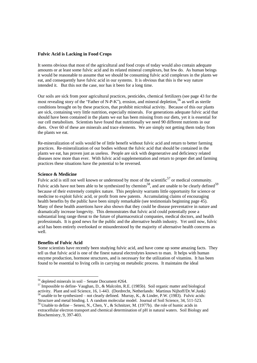#### **Fulvic Acid is Lacking in Food Crops**

It seems obvious that most of the agricultural and food crops of today would also contain adequate amounts or at least some fulvic acid and its related mineral complexes, but few do. As human beings it would be reasonable to assume that we should be consuming fulvic acid complexes in the plants we eat, and consequently have fulvic acid in our systems. It is obvious that this is the way nature intended it. But this not the case, nor has it been for a long time.

Our soils are sick from poor agricultural practices, pesticides, chemical fertilizers (see page 43 for the most revealing story of the "Father of N-P-K"), erosion, and mineral depletion,  $^{56}$  as well as sterile conditions brought on by these practices, that prohibit microbial activity. Because of this our plants are sick, containing very little nutrition, especially minerals. For generations adequate fulvic acid that should have been contained in the plants we eat has been missing from our diets, yet it is essential for our cell metabolism. Scientists have found that nutritionally we need 90 different nutrients in our diets. Over 60 of these are minerals and trace elements. We are simply not getting them today from the plants we eat.

Re-mineralization of soils would be of little benefit without fulvic acid and return to better farming practices. Re-mineralization of our bodies without the fulvic acid that should be contained in the plants we eat, has proven just as useless. People are sick with degenerative and deficiency related diseases now more than ever. With fulvic acid supplementation and return to proper diet and farming practices these situations have the potential to be reversed.

#### **Science & Medicine**

Fulvic acid is still not well known or understood by most of the scientific<sup>57</sup> or medical community. Fulvic acids have not been able to be synthesized by chemists<sup>58</sup>, and are unable to be clearly defined<sup>59</sup> because of their extremely complex nature. This perplexity warrants little opportunity for science or medicine to exploit fulvic acid, or profit from new patents. Accumulating claims of encouraging health benefits by the public have been simply remarkable (see testimonials beginning page 45). Many of these health assertions have also shown that they could be disease preventative in nature and dramatically increase longevity. This demonstrates that fulvic acid could potentially pose a substantial long range threat to the future of pharmaceutical companies, medical doctors, and health professionals. It is good news for the public and the alternative health industry. Yet until now, fulvic acid has been entirely overlooked or misunderstood by the majority of alternative health concerns as well.

#### **Benefits of Fulvic Acid**

-

Some scientists have recently been studying fulvic acid, and have come up some amazing facts. They tell us that fulvic acid is one of the finest natural electrolytes known to man. It helps with human enzyme production, hormone structures, and is necessary for the utilization of vitamins. It has been found to be essential to living cells in carrying on metabolic process. It maintains the ideal

 $56$  depleted minerals in soil – Senate Document #264.

<sup>&</sup>lt;sup>57</sup> Impossible to define- Vaughan, D., & Malcolm, R.E. (1985b). Soil organic matter and biological activity. Plant and soil Science, 16, 1-443. (Dordrecht, Netherlands: Martinus Nijhoff/Dr.W.Junk) <sup>8</sup> unable to be synthesized – not clearly defined. Murray, K., & Linder, P.W. (1983). Fulvic acids:

Structure and metal binding. I. A random molecular model. Journal of Soil Science, 34, 511-523.  $59$  Unable to define – Senesi, N., Chen, Y., & Schnitzer, M. (1977b). the role of humic acids in

extracellular electron transport and chemical determination of pH in natural waters. Soil Biology and Biochemistry, 9, 397-403.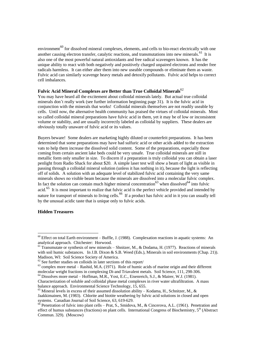environment<sup>60</sup> for dissolved mineral complexes, elements, and cells to bio-react electrically with one another causing electron transfer, catalytic reactions, and transmutations into new minerals.<sup>61</sup> It is also one of the most powerful natural antioxidants and free radical scavengers known. It has the unique ability to react with both negatively and positively charged unpaired electrons and render free radicals harmless. It can either alter them into new useable compounds or eliminate them as waste. Fulvic acid can similarly scavenge heavy metals and detoxify pollutants. Fulvic acid helps to correct cell imbalances.

#### **Fulvic Acid Mineral Complexes are Better than True Colloidal Minerals**<sup>62</sup>

You may have heard all the excitement about colloidal minerals lately. But actual true colloidal minerals don't really work (see further information beginning page 31). It is the fulvic acid in conjunction with the minerals that works! Colloidal minerals themselves are not readily useable by cells. Until now, the alternative health community has praised the virtues of colloidal minerals. Most so called colloidal mineral preparations have fulvic acid in them, yet it may be of low or inconsistent volume or stability, and are usually incorrectly labeled as colloidal by suppliers. These dealers are obviously totally unaware of fulvic acid or its values.

Buyers beware! Some dealers are marketing highly diluted or counterfeit preparations. It has been determined that some preparations may have had sulfuric acid or other acids added to the extraction vats to help them increase the dissolved solid content. Some of the preparations, especially those coming from certain ancient lake beds could be very unsafe. True colloidal minerals are still in metallic form only smaller in size. To discern if a preparation is truly colloidal you can obtain a laser penlight from Radio Shack for about \$20. A simple laser test will show a beam of light as visible in passing through a colloidal mineral solution (unless it has nothing in it), because the light is reflecting off of solids. A solution with an adequate level of stabilized fulvic acid containing the very same minerals shows no visible beam because the minerals are dissolved into a molecular fulvic complex. In fact the solution can contain much higher mineral concentration<sup>63</sup> when dissolved<sup>64</sup> into fulvic acid.<sup>65</sup> It is most important to realize that fulvic acid is the perfect vehicle provided and intended by nature for transport of minerals to living cells.<sup>66</sup> If a product has fulvic acid in it you can usually tell by the unusual acidic taste that is unique only to fulvic acids.

#### **Hidden Treasures**

-

 $60$  Effect on total Earth environment – Buffle, J. (1988). Complexation reactions in aquatic systems: An analytical approach. Chichester: Horwood.

 $61$  Transmutate or synthesis of new minerals – Shnitzer, M., & Dodama, H. (1977). Reactions of minerals with soil humic substances. In J.B. Dixon & S.B. Weed (Eds.), Minerals in soil environments (Chap. 21)). Madison, WI: Soil Science Society of America.

 $62$  See further studies on colloids in later sections of this report/

 $63$  complex more metal – Rashid, M.A. (1971). Role of humic acids of marine origin and their different molecular weight fractions in complexing Di-and Triavalent metals. Soil Science, 111, 298-306.

<sup>64</sup> Dissolves more metal – Hoffman, M.R., Yost, E.C., Eisenreich, S.J., & Mairer, W.J. (1981).

Characterization of soluble and colloidal phase metal complexes in river water ultrafiltration. A mass balance approach. Environmental Science Technology, 15, 655.

 $^{65}$  Mineral levels in excess of their assumed dissolution ability – Kodama, H., Schnitzer, M., & Jaakkimainen, M. (1983). Chlorite and biotite weathering by fulvic acid solutions in closed and open systems. Canadian Journal of Soil Science, 63, 619-629.

 $66$  Penetration of fulvic into plant cells – Prat, S., Smidova, M., & Cincerova, A.L. (1961). Penetration and effect of humus substances (fractions) on plant cells. International Congress of Biochemistry,  $5<sup>th</sup>$  (Abstract Commun. 329). (Moscow)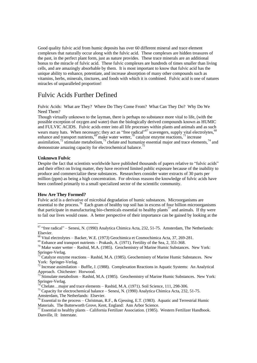Good quality fulvic acid from humic deposits has over 60 different mineral and trace element complexes that naturally occur along with the fulvic acid. These complexes are hidden treasures of the past, in the perfect plant form, just as nature provides. These trace minerals are an additional bonus to the miracle of fulvic acid. These fulvic complexes are hundreds of times smaller than living cells, and are amazingly absorbable by them. It is most important to know that fulvic acid has the unique ability to enhance, potentiate, and increase absorption of many other compounds such as vitamins, herbs, minerals, tinctures, and foods with which it is combined. Fulvic acid is one of natures miracles of unparalleled proportion!

## Fulvic Acids Further Defined

Fulvic Acids: What are They? Where Do They Come From? What Can They Do? Why Do We Need Them?

Though virtually unknown to the layman, there is perhaps no substance more vital to life, (with the possible exception of oxygen and water) than the biologically derived compounds known as HUMIC and FULVIC ACIDS. Fulvic acids enter into all life processes within plants and animals and as such wears many hats. When necessary; they act as "free radical"<sup>67</sup> scavengers, supply vital electrolytes, <sup>68</sup> enhance and transport nutrients,  $\frac{69}{3}$  make water wetter,  $\frac{70}{3}$  catalyze enzyme reactions,  $\frac{71}{3}$  increase assimilation,<sup>72</sup> stimulate metabolism,<sup>73</sup> chelate and humanize essential major and trace elements,<sup>74</sup> and demonstrate amazing capacity for electrochemical balance.<sup>75</sup>

#### **Unknown Fulvic**

<u>.</u>

Despite the fact that scientists worldwide have published thousands of papers relative to "fulvic acids" and their effect on living matter, they have received limited public exposure because of the inability to produce and commercialize these substances. Researchers consider water extracts of 30 parts per million (ppm) as being a high concentration. For obvious reasons the knowledge of fulvic acids have been confined primarily to a small specialized sector of the scientific community.

#### **How Are They Formed?**

Fulvic acid is a derivative of microbial degradation of humic substances. Microorganisms are essential to the process.<sup>76</sup> Each gram of healthy top soil has in excess of four billion microorganisms that participate in manufacturing bio-chemicals essential to healthy plants<sup>77</sup> and animals. If thy were to fail our lives would cease. A better perspective of their importance can be gained by looking at the

 $67$  "free radical" – Senesi, N. (1990) Analytica Chimica Acta, 232, 51-75. Amsterdam, The Netherlands: Elsevier.

<sup>68</sup> Vital electrolytes – Backer, W.E. (1973) Geochimica et Cosmochimica Acta, 37, 269-281.

<sup>69</sup> Enhance and transport nutrients – Prakash, A. (1971). Fertility of the Sea, 2, 351-368.

 $70$  Make water wetter – Rashid, M.A. (1985). Geochemistry of Marine Humic Substances. New York: Springer-Verlag.

<sup>71</sup> Catalyze enzyme reactions – Rashid, M.A. (1985). Geochemistry of Marine Humic Substances. New York: Springer-Verlag.

 $72$  Increase assimilation – Buffle, J. (1988). Complexation Reactions in Aquatic Systems: An Analytical Approach. Chichester: Horwood.

 $^{73}$  Stimulate metabolism – Rashid, M.A. (1985). Geochemistry of Marine Humic Substances. New York: Springer-Verlag.

 ${}^{4}$ Chelate…major and trace elements – Rashid, M.A. (1971). Soil Science, 111, 298-306.

<sup>&</sup>lt;sup>75</sup> Capacity for electrochemical balance – Senesi, N. (1990) Analytica Chimica Acta, 232, 51-75. Amsterdam, The Netherlands: Elsevier.

<sup>76</sup> Essential to the process – Christman, R.F., & Gjessing, E.T. (1983). Aquatic and Terrestrial Humic Materials. The Butterworth Grove, Kent, England: Ann Arbor Science.

 $^{77}$  Essential to healthy plants – California Fertilizer Association. (1985). Western Fertilizer Handbook. Danville, II: Interstate.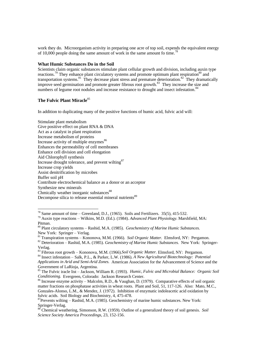work they do. Microorganism activity in preparing one acre of top soil, expends the equivalent energy of 10,000 people doing the same amount of work in the same amount fo time.<sup>7</sup>

#### **What Humic Substances Do in the Soil**

Scientists claim organic substances stimulate plant cellular growth and division, including auxin type reactions.<sup>79</sup> They enhance plant circulatory systems and promote optimum plant respiration<sup>80</sup> and transportation systems.<sup>81</sup> They decrease plant stress and premature deterioration.<sup>82</sup> They dramatically improve seed germination and promote greater fibrous root growth.<sup>83</sup> They increase the size and numbers of legume root nodules and increase resistance to drought and insect infestation.<sup>84</sup>

#### **The Fulvic Plant Miracle**<sup>85</sup>

-

In addition to duplicating many of the positive functions of humic acid, fulvic acid will:

Stimulate plant metabolism Give positive effect on plant RNA & DNA Act as a catalyst in plant respiration Increase metabolism of proteins Increase activity of multiple enzymes<sup>86</sup> Enhances the permeability of cell membranes Enhance cell division and cell elongation Aid Chlorophyll synthesis Increase drought tolerance, and prevent wilting<sup>87</sup> Increase crop yields Assist denitrification by microbes Buffer soil pH Contribute electrochemical balance as a donor or an acceptor Synthesize new minerals Chmically weather inorganic substances<sup>88</sup> Decompose silica to release essential mineral nutrients<sup>89</sup>

<sup>81</sup> Transpiration systems – Kononova, M.M. (1966). *Soil Organic Matter.* Elmsford, NY: Pergamon.

<sup>83</sup> Fibrous root growth – Kononova, M.M. (1966).*Soil Organic Matter.* Elmsford, NY: Pergamon.

<sup>84</sup> Insect infestation – Salk, P.L., & Parker, L.W. (1986). *A New Agricultural Biotechnology: Potential Applications in Arid and Semi-Arid Zones.* American Association for the Advancement of Science and the Government of LaRioja, Argentina.

 $^{78}$  Same amount of time – Greenland, D.J., (1965). Soils and Fertilizers. 35(5), 415-532.

<sup>79</sup> Auxin type reactions – Wilkins, M.D. (Ed.). (1984). *Advanced Plant Physiology.* Marshfield, MA: Pitman.

<sup>80</sup> Plant circulatory systems – Rashid, M.A. (1985). *Geochemistry of Marine Humic Substances.* New York: Springer – Verlag.

<sup>82</sup> Deterioration – Rashid, M.A. (1985). *Geochemistry of Marine Humic Substances.* New York: Springer-Verlag.

<sup>85</sup> The Fulvic iracle list – Jackson, William R. (1993). *Humic, Fulvic and Microbial Balance: Organic Soil Conditioning.* Evergreen, Colorado: Jackson Research Center.

<sup>86</sup> Increase enzyme activity – Malcolm, R.D., & Vaughan, D. (1979). Comparative effects of soil organic matter fractions on phosphatase activities in wheat roots. Plant and Soil, 51, 117-126. Also: Mato, M.C., Gonzales-Alonso, L.M., & Mendez, J. (1972). Inhibition of enzymatic indoleacetic acid oxidation by fulvic acids. Soil Biology and Biochmistry, 4, 475-478.

 $87$ Prevents wilting – Rashid, M.A. (1985). Geochemistry of marine humic substances. New York: Springer-Verlag.

 $\delta$ <sup>8</sup> Chemical weathering, Simonson, R.W. (1959). Outline of a generalized theory of soil genesis. *Soil Science Society America Proceedings,* 23, 152-156.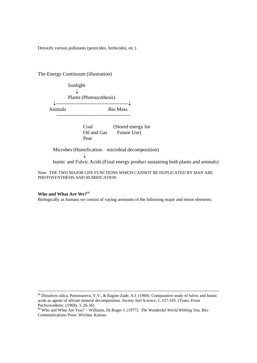Detoxify various pollutants (pesticides, herbicides, etc.)

The Energy Continuum (illustration)

 Sunlight  $\downarrow$  Plants (Photosynthesis) ¯-------------------------------------------¯ Animals Bio Mass -------------------------------------------- Coal (Stored energy for Oil and Gas Future Use) Peat Microbes (Humification – microbial decomposition)  $\downarrow$ humic and Fulvic Acids (Final energy product sustaining both plants and animals)

Note: THE TWO MAJOR LIFE FUNCTIONS WHICH CANNOT BE DUPLICATED BY MAN ARE PHOTOSYNTHESIS AND HUMIFICATION

#### **Who and What Are We?**<sup>90</sup>

<u>.</u>

Biologically as humans we consist of vaying armounts of the following major and minor elements;

<sup>&</sup>lt;sup>89</sup> Dissolves silica, Ponomareva, V.V., & Ragim-Zade, A.I. (1969). Comparative study of fulvic and humic acids as agents of silicate mineral decomposition. *Society Soil Science,* 1, 157-165. (Trans. From Pochvovedenic. (1969), 3, 26-36)

<sup>90</sup> Who and What Are You? – Williams, Dr.Roger J. (1977). *The Wonderful World Withing You.* Bio-Communications Press. Wichita, Kansas.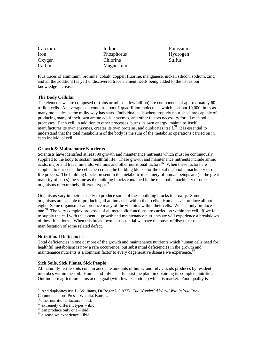| Calcium | <i>I</i> odine |
|---------|----------------|
| Iron    | Phosphorus     |
| Oxygen  | Chlorine       |
| Carbon  | Magnesium      |

Potassium Hydrogen Sulfur

Plus traces of aluminum, bromine, cobalt, copper, fluorine, manganese, nickel, silicon, sodium, zinc, and all the additionl (as yet) undiscovered trace element needs being added to the list as our knowledge increase.

#### **The Body Cellular**

The elements we are composed of (plus or minus a few billion) are components of approximately 60 trillion cells. An average cell contains about 1 quadrillion molecules, which is about 10,000 times as many molecules as the milky way has stars. Individual cells when properly nourished, are capable of producing many of their own amino acids, enzymes, and other factors necessary for all metabolic processes. Each cell, in addition to other processes, burns its own energy, maintains itself, manufactures its own enzymes, creates its own proteins, and duplicates itself.<sup>91</sup> It is essential to understand that the total metabolism of the body is the sum of the metabolic operations carried on in each individual cell.

#### **Growth & Maintenance Nutrients**

Scientists have identified at least 90 growth and maintenance nutrients which must be continuously supplied to the body to sustain healthful life. These growth and maintenance nutrients include amino acids, major and trace minerals, vitamins and other nutritional factors.<sup>92</sup> When these factors are supplied to our cells, the cells then create the building blocks for the total metabolic machinery of our life process. The building blocks present in the metabolic machinery of human beings are (in the great majority of cases) the same as the building blocks contained in the metabolic machinery of other organisms of extremely different types.<sup>9</sup>

Organisms vary in their capacity to produce some of these building blocks internally. Some organisms are capable of producing all amino acids within their cells. Humans can produce all but eight. Some organisms can produce many of the vitamins within their cells. We can only produce one.<sup>94</sup> The very complex processes of all metabolic functions are carried on within the cell. If we fail to supply the cell with the essential growth and maintenance nutrients we will experience a breakdown of these functions. When this breakdown is substantial we have the onset of disease or the manifestation of some related defect.

#### **Nutritional Deficiencies**

Total deficiencies in one or more of the growth and maintenance nutrients which human cells need for healthful metabolism is now a rare occurrence, but substantial deficiencies in the growth and maintenance nutrients is a common factor to every degenerative disease we experience.<sup>95</sup>

#### **Sick Soils, Sick Plants, Sick People**

All naturally fertile soils contain adequate amounts of humic and fulvic acids produces by resident microbes within the soil. Humic and fulvic acids assist the plant in obtaining its complete nutrition. Our modern agriculture aims at one goal (with few exceptions) which is market. Food quality is

<u>.</u>

<sup>91</sup> And duplicates itself – Williams, Dr.Roger J. (1977). *The Wonderful World Within You.* Bio-

Communications Press. Wichita, Kansas.

 $^{92}$ other nutritional factors – ibid.

 $93$  extremely different types – ibid.

 $94$  can produce only one – ibid.

 $95$  disease we experience – ibid.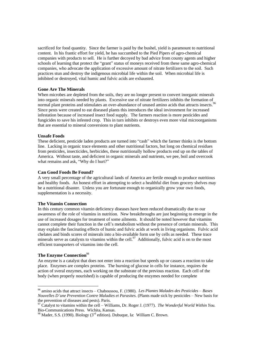sacrificed for food quantity. Since the farmer is paid by the bushel, yield is paramount to nutritional content. In his frantic effort for yield, he has succumbed to the Pied Pipers of agro-chemical companies with products to sell. He is further decoyed by bad advice from county agents and higher schools of learning that protect the "grant" status of moneys received from these same agro-chemical companies, who advocate the application of excessive amount of nitrate fertilizers to the soil. Such practices stun and destroy the indigenous microbial life within the soil. When microbial life is inhibited or destroyed, vital humic and fulvic acids are exhausted.

#### **Gone Are The Minerals**

When microbes are depleted from the soils, they are no longer present to convert inorganic minerals into organic minerals needed by plants. Excessive use of nitrate fertilizers inhibits the formation of normal plant proteins and stimulates an over-abundance of unused amino acids that attracts insects.<sup>96</sup>  $\overline{a}$ Since pests were created to eat diseased plants this introduces the ideal invironment for increased infestation because of increased insect food supply. The farmers reaction is more pesticides and fungicides to save his infested crop. This in turn inhibits or destroys even more vital microorganisms that are essential to mineral conversions to plant nutrients.

#### **Unsafe Foods**

These deficient, pesticide laden products are turned into "cash" which the farmer thinks is the bottom line. Lacking in organic trace elements and other nutritional factors, but long on chemical residues from pesticides, insecticides, herbicides, these nutritionally hollow products end up on the tables of America. Without taste, and deficient in organic minerals and nutrients, we pee, boil and overcook what remains and ask, "Why do I hurt?"

#### **Can Good Foods Be Found?**

A very small percentage of the agricultural lands of America are fertile enough to produce nutritious and healthy foods. An honest effort in attempting to select a healthful diet from grocery shelves may be a nutritional disaster. Unless you are fortunate enough to organically grow your own foods, supplementation is a necessity.

#### **The Vitamin Connection**

In this century common vitamin deficiency diseases have been reduced dramatically due to our awareness of the role of vitamins in nutrition. New breakthroughs are just beginning to emerge in the use of increased dosages for treatment of some ailments. It should be noted however that vitamins cannot complete their function in the cell's metabolism without the presence of certain minerals. This may explain the fascinating effects of humic and fulvic acids at work in living organisms. Fulvic acid chelates and binds scores of minerals into a bio-available form use by cells as needed. These trace minerals serve as catalysts to vitamins within the cell.<sup>97</sup> Additionally, fulvic acid is on to the most efficient transporters of vitamins into the cell.

#### **The Enzyme Connection**<sup>98</sup>

<u>.</u>

An enzyme is a catalyst that does not enter into a reaction but speeds up or casues a reaction to take place. Enzymes are complex proteins. The burning of glucose in cells for instance, requires the action of sveral enzymes, each working on the substrate of the previous reaction. Each cell of the body (when properly nourished) is capable of producing the enzymes needed for complete

<sup>96</sup> amino acids that attract insects – Chaboussou, F. (1980). *Les Plantes Malades des Pesticides – Bases Nouvelles D'une Prevention Contre Maladies et Parasites.* (Plants made sick by pesticides – New basis for the prevention of diseases and pests). Paris.

<sup>97</sup> Catalyst to vitamins within the cell – Williams, Dr. Roger J. (1977). *The Wonderful World Within You.* Bio-Communications Press. Wichita, Kansas.

<sup>&</sup>lt;sup>98</sup> Mader, S.S. (1990). Biology ( $3<sup>rd</sup>$  edition). Dubuque, Ia: William C. Brown.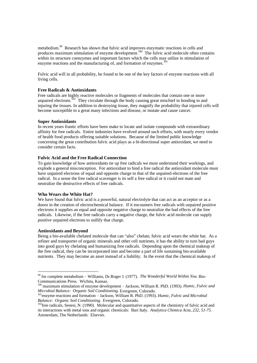metabolism.<sup>99</sup> Research has shown that fulvic acid improves enzymatic reactions in cells and produces maximum stimulation of enzyme development.<sup>100</sup> The fulvic acid molecule often contains produces within its structure coenzymes and important factors which the cells may utilize in stimulation of enzyme reactions and the manufacturing of, and formation of enzymes.<sup>1</sup>

Fulvic acid will in all probability, be found to be one of the key factors of enzyme reactions with all living cells.

#### **Free Radicals & Antioxidants**

Free radicals are highly reactive molecules or fragments of molecules that contain one or more unpaired electrons.<sup>102</sup> They circulate through the body causing great mischief in bonding to and injuring the tissues. In addition to destroying tissue, they magnify the probability that injured cells will become susceptible to a great many infections and disease, or mutate and cause cancer.

#### **Super Antioxidants**

In recent years frantic efforts have been make to locate and isolate compounds with extraordinary affinity for free radicals. Entire industries have evolved around such efforts, with nearly every vendor of health food products offering suitable solutions. Because of the limited public knowledge concerning the great contribution fulvic acid plays as a bi-directional super antioxidant, we need to consider certain facts.

#### **Fulvic Acid and the Free Radical Connection**

To gain knowledge of how antioxidants tie up free radicals we must understand their workings, and explode a general misconception. For antioxidant to bind a free radical the antioxidant molecule must have unpaired electrons of equal and opposite charge to that of the unpaired electrons of the free radical. In a sense the free radical scavenger is its self a free radical or it could not mate and neutralize the destructive effects of free radicals.

#### **Who Wears the White Hat?**

We have found that fulvic acid is a powerful, natural electrolyte that can act as an acceptor or as a donor in the creation of electrochemical balance. If it encounters free radicals with unpaired positive electrons it supplies an equal and opposite negative charge to neutralize the bad effects of the free radicals. Likewise, if the free radicals carry a negative charge, the fulvic acid molecule can supply positive unpaired electrons to nullify that charge.

#### **Antioxidants and Beyond**

-

Being a bio-available chelated molecule that can "also" chelate, fulvic acid wears the white hat. As a refiner and transporter of organic minerals and other cell nutrients, it has the ability to turn bad guys into good guys by chelating and humanizing free radicals. Depending upon the chemical makeup of the free radical, they can be incorporated into and become a part of life sustaining bio-available nutrients. They may become an asset instead of a liability. In the event that the chemical makeup of

<sup>99</sup> for complete metabolism – Williams, Dr.Roger J. (1977). *The Wonderful World Within You.* Bio-Communications Press. Wichita, Kansas.

<sup>100</sup> maximum stimulation of enzyme development – Jackson, William R. PhD. (1993). *Humic, Fulvic and Microbial Balance: Organic Soil Conditioning.* Evergreen, Colorado.

<sup>101</sup>enzyme reactions and formation – Jackson, William R. PhD. (1993). *Humic, Fulvic and Microbial Balance: Organic Soil Conditioning.* Evergreen, Colorado.

<sup>&</sup>lt;sup>102</sup>free radicals, Senesi, N. (1990). Molecular and quantitative aspects of the chemistry of fulvic acid and its interactions with metal ions and organic chemicals: Bari Italy. *Analytica Chimica Acta, 232, 51-75.* Amsterdam, The Netherlands: Elsevier.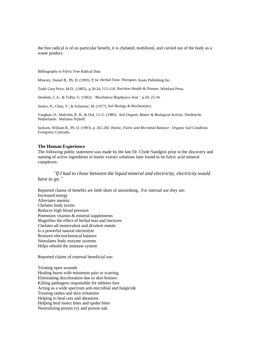the free radical is of no particular benefit, it is chelated, mobilized, and carried out of the body as a waste product.

Bibliography to Fulvic Free Radical Data

Mowrey, Daniel B., Ph. D. (1993). P.34 *Herbal Tonic Therapies.* Keats Publishing Inc.

Todd, Gary Price, M.D., (1985)., p.20-24, 113-118, *Nutrition Health & Disease.* Whitford Press.

Steelenk, C.A., & Tollin, G. (1962). *"Biochimica Biophysica Acta"*. p.59, 25-34.

Senesi, N., Chen, Y., & Schnitzer, M. (1977). *Soil Biology & Biochemistry.*

Vaughan, D., Malcolm, R. B., & Ord, 13. G. (1985). *Soil Organic Matter & Biological Activity.* Dordriecht, Netherlands: Martinus Nijhoff.

Jackson, William R., Ph D. (1993). p. 261-282. *Humic, Fulvic and Microbial Balance: Organic Soil Condition.*  Evergreen, Colorado.

#### **The Human Experience**

The following public statement was made by the late Dr. Clyde Sandgrin prior to the discovery and naming of active ingredients in humic extract solutions later found to be fulvic acid mineral complexes:

*"If I had to chose between the liquid mineral and electricity, electricity would have to go."*

Reported claims of benefits are little short of astonishing. For internal use they are: Increased energy Alleviates anemia Chelates body toxins Reduces high blood pressure Potentizes vitamin & mineral supplements Magnifies the effect of herbal teas and tinctures Chelates all monovalent and divalent metals Is a powerful natural electrolyte Restores electrochemical balance Stimulates body enzyme systems Helps rebuild the immune system

Reported claims of external beneficial use:

Treating open wounds Healing burns with minimum pain or scarring Eliminating discoloration due to skin bruises Killing pathogens responsible for athletes foot Acting as a wide spectrum anti-microbial and fungicide Treating rashes and skin irritations Helping to heal cuts and abrasions Helping heal insect bites and spider bites Neutralizing poison ivy and poison oak.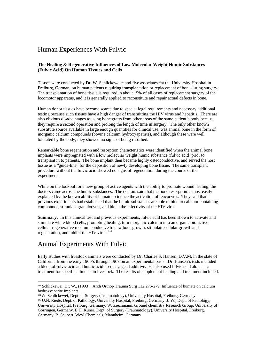## Human Experiences With Fulvic

#### **The Healing & Regenerative Influences of Low Molecular Weight Humic Substances (Fulvic Acid) On Human Tissues and Cells**

Tests<sup>103</sup> were conducted by Dr. W. Schlickewei<sup>104</sup> and five associates<sup>105</sup>at the University Hospital in Freiburg, German, on human patients requiring transplantation or replacement of bone during surgery. The transplantation of bone tissue is required in about 15% of all cases of replacement surgery of the locomotor apparatus, and it is generally applied to reconstitute and repair actual defects in bone.

Human donor tissues have become scarce due to special legal requirements and necessary additional testing because such tissues have a high danger of transmitting the HIV virus and hepatitis. There are also obvious disadvantages to using bone grafts from other areas of the same patient's body because they require a second operation and prolong the length of time in surgery. The only other known substitute source available in large enough quantities for clinical use, was animal bone in the form of inorganic calcium compounds (bovine calcium hydroxyapatirte), and although these were well tolerated by the body, they showed no signs of being resorbed.

Remarkable bone regeneration and resorption characteristics were identified when the animal bone implants were impregnated with a low molecular weight humic substance (fulvic acid) prior to transplant in to patients. The bone implant then became highly osteoconductive, and served the host tissue as a "guide-line" for the deposition of newly developing bone tissue. The same transplant procedure without the fulvic acid showed no signs of regeneration during the course of the experiment.

While on the lookout for a new group of active agents with the ability to promote wound healing, the doctors came across the humic substances. The doctors said that the bone resorption is most easily explained by the known ability of humate to induce the activation of leucocytes. They said that previous experiments had established that the humic substances are able to bind to calcium-containing compounds, stimulate granulocytes, and block the infectivity of the HIV virus.

**Summary:** In this clinical test and previous experiments, fulvic acid has been shown to activate and stimulate white blood cells, promoting healing, turn inorganic calcium into an organic bio-active cellular regenerative medium conducive to new bone growth, stimulate cellular growth and regeneration, and inhibit the HIV virus.<sup>103</sup>

## Animal Experiments With Fulvic

 $\overline{a}$ 

Early studies with livestock animals were conducted by Dr. Charles S. Hansen, D.V.M. in the state of California from the early 1960's through 1967 on an experimental basis. Dr. Hansen's tests included a blend of fulvic acid and humic acid used as a geed additive. He also used fulvic acid alone as a treatment for specific ailments in livestock. The results of supplement feeding and treatment included.

<sup>103</sup> Schlickewei, Dr. W., (1993). Arch Orthop Trauma Surg 112:275-279, Influence of humate on calcium hydroxyapatite implants.

<sup>104</sup>W. Schlickewei, Dept. of Surgery (Traumatology), University Hospital, Freiburg, Germany <sup>105</sup> U.N. Riede, Dept. of Pathology, University Hospital, Freiburg, Germany. J. Yu, Dept. of Pathology, University Hospital, Freiburg, Germany. W. Ziechmann, Ground chemistry Research Group, University of Gorringen, Germany. E.H. Kuner, Dept. of Surgery (Traumatology), University Hospital, Freiburg, Germany. B. Seubert, Weyl Chemicals, Mannheim, Germany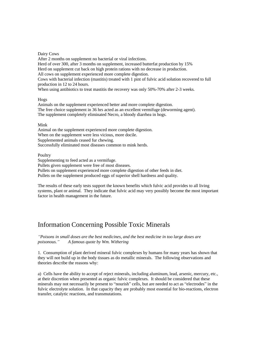Dairy Cows

After 2 months on supplement no bacterial or viral infections. Herd of over 300, after 3 months on supplement, increased butterfat production by 15% Herd on supplement cut back on high protein rations with no decrease in production. All cows on supplement experienced more complete digestion. Cows with bacterial infection (mastitis) treated with 1 pint of fulvic acid solution recovered to full production in 12 to 24 hours. When using antibiotics to treat mastitis the recovery was only 50%-70% after 2-3 weeks.

#### Hogs

Animals on the supplement experienced better and more complete digestion. The free choice supplement in 36 hrs acted as an excellent vermifuge (deworming agent). The supplement completely eliminated Necro, a bloody diarrhea in hogs.

#### Mink

Animal on the supplement experienced more complete digestion. When on the supplement were less vicious, more docile. Supplemented animals ceased fur chewing. Successfully eliminated most diseases common to mink herds.

#### Poultry

Supplementing to feed acted as a vermifuge. Pullets given supplement were free of most diseases. Pullets on supplement experienced more complete digestion of other feeds in diet. Pullets on the supplement produced eggs of superior shell hardness and quality.

The results of these early tests support the known benefits which fulvic acid provides to all living systems, plant or animal. They indicate that fulvic acid may very possibly become the most important factor in health management in the future.

## Information Concerning Possible Toxic Minerals

*"Poisons in small doses are the best medicines, and the best medicine in too large doses are poisonous." A famous quote by Wm. Withering*

1. Consumption of plant derived mineral fulvic complexes by humans for many years has shown that they will not build up in the body tissues as do metallic minerals. The following observations and theories describe the reasons why:

a) Cells have the ability to accept of reject minerals, including aluminum, lead, arsenic, mercury, etc., at their discretion when presented as organic fulvic complexes. It should be considered that these minerals may not necessarily be present to "nourish" cells, but are needed to act as "electrodes" in the fulvic electrolyte solution. In that capacity they are probably most essential for bio-reactions, electron transfer, catalytic reactions, and transmutations.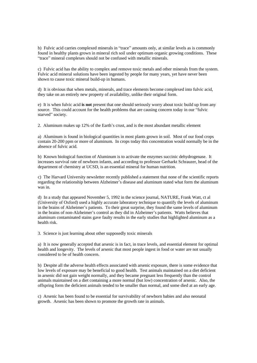b) Fulvic acid carries complexed minerals in "trace" amounts only, at similar levels as is commonly found in healthy plants grown in mineral rich soil under optimum organic growing conditions. These "trace" mineral complexes should not be confused with metallic minerals.

c) Fulvic acid has the ability to complex and remove toxic metals and other minerals from the system. Fulvic acid mineral solutions have been ingested by people for many years, yet have never been shown to cause toxic mineral build-up in humans.

d) It is obvious that when metals, minerals, and trace elements become complexed into fulvic acid, they take on an entirely new property of availability, unlike their original form.

e) It is when fulvic acid **is not** present that one should seriously worry about toxic build up from any source. This could account for the health problems that are causing concern today in our "fulvic starved" society.

2. Aluminum makes up 12% of the Earth's crust, and is the most abundant metallic element

a) Aluminum is found in biological quantities in most plants grown in soil. Most of our food crops contain 20-200 ppm or more of aluminum. In crops today this concentration would normally be in the absence of fulvic acid.

b) Known biological function of Aluminum is to activate the enzymes succinic dehydrogenase. It increases survival rate of newborn infants, and according to professor Gerharkt Schrauzer, head of the department of chemistry at UCSD, is an essential mineral for human nutrition.

c) The Harvard University newsletter recently published a statement that none of the scientific reports regarding the relationship between Alzheimer's disease and aluminum stated what form the aluminum was in.

d) In a study that appeared November 5, 1992 in the science journal, NATURE, Frank Watt, ct al (University of Oxford) used a highly accurate laboratory technique to quantify the levels of aluminum in the brains of Alzheimer's patients. To their great surprise, they found the same levels of aluminum in the brains of non-Alzheimer's control as they did in Alzheimer's patients. Watts believes that aluminum contaminated stains gave faulty results in the early studies that highlighted aluminum as a health risk.

3. Science is just learning about other supposedly toxic minerals

a) It is now generally accepted that arsenic is in fact, in trace levels, and essential element for optimal health and longevity. The levels of arsenic that most people ingest in food or water are not usually considered to be of health concern.

b) Despite all the adverse health effects associated with arsenic exposure, there is some evidence that low levels of exposure may be beneficial to good health. Test animals maintained on a diet deficient in arsenic did not gain weight normally, and they became pregnant less frequently than the control animals maintained on a diet containing a more normal (but low) concentration of arsenic. Also, the offspring form the deficient animals tended to be smaller than normal, and some died at an early age.

c) Arsenic has been found to be essential for survivability of newborn babies and also neonatal growth. Arsenic has been shown to promote the growth rate in animals.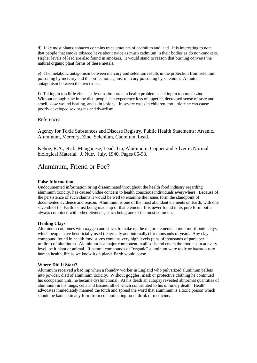d) Like most plants, tobacco contains trace amounts of cadmium and lead. It is interesting to note that people that smoke tobacco have about twice as mush cadmium in their bodies as do non-smokers. Higher levels of lead are also found in smokers. It would stand to reason that burning converts the natural organic plant forms of these metals.

e) The metabolic antagonism between mercury and selenium results in the protection from selenium poisoning by mercury and the protection against mercury poisoning by selenium. A mutual antagonism between the two exists.

f) Taking in too little zinc is at least as important a health problem as taking in too much zinc. Without enough zinc in the diet, people can experience loss of appetite, decreased sense of taste and smell, slow wound healing, and skin lesions. In severe cases in children, too little zinc can cause poorly developed sex organs and dwarfism.

#### References:

Agency for Toxic Substances and Disease Registry, Public Health Statements: Arsenic, Aluminum, Mercury, Zinc, Selenium, Cadmium, Lead.

Kehoe, R.A., et al.: Manganese, Lead, Tin, Aluminum, Copper and Silver in Normal biological Material. J. Nutr. July, 1940. Pages 85-98.

## Aluminum, Friend or Foe?

#### **False Information**

Undocumented information bring disseminated throughout the health food industry regarding aluminum toxicity, has caused undue concern to health conscious individuals everywhere. Because of the persistence of such claims it would be well to examine the issues form the standpoint of documented evidence and reason. Aluminum is one of the most abundant elements on Earth, with one seventh of the Earth's crust being made up of that element. It is never found in its pure form but is always combined with other elements, silica being one of the most common.

#### **Healing Clays**

Aluminum combines with oxygen and silica, to make up the major elements in montmorillonite clays; which people have beneficially used (externally and internally) for thousands of years. Any clay compound found in health food stores contains very high levels (tens of thousands of parts per million) of aluminum. Aluminum is a major component in all soils and enters the food chain at every level, be it plant or animal. If natural compounds of "organic" aluminum were toxic or hazardous to human health, life as we know it on planet Earth would cease.

#### **Where Did It Start?**

Aluminum received a bad rap when a foundry worker in England who pulverized aluminum pellets into powder, died of aluminum toxicity. Without goggles, mask or protective clothing he continued his occupation until he became dysfunctional. At his death an autopsy revealed abnormal quantities of aluminum in his lungs, cells and tissues, all of which contributed to his untimely death. Health advocates immediately manned the torch and spread the word that aluminum is a toxic poison which should be banned in any form from contaminating food, drink or medicine.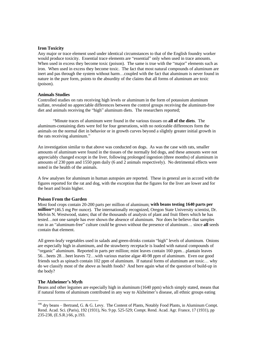#### **Iron Toxicity**

Any major or trace element used under identical circumstances to that of the English foundry worker would produce toxicity. Essential trace elements are "essential" only when used in trace amounts. When used in excess they become toxic (poison). The same is true with the "major" elements such as iron. When used in excess they become toxic. The fact that most natural compounds of aluminum are inert and pas through the system without harm…coupled with the fact that aluminum is never found in nature in the pure form, points to the absurdity of the claims that all forms of aluminum are toxic (poison).

#### **Animals Studies**

Controlled studies on rats receiving high levels or aluminum in the form of potassium aluminum sulfate, revealed no appreciable differences between the control groups receiving the aluminum-free diet and animals receiving the "high" aluminum diets. The researchers reported;

"Minute traces of aluminum were found in the various tissues on **all of the diets**. The aluminum-containing diets were fed for four generations, with no noticeable differences form the animals on the normal diet in behavior or in growth curves beyond a slightly greater initial growth in the rats receiving aluminum."

An investigation similar to that above was conducted on dogs. As was the case with rats, smaller amounts of aluminum were found in the tissues of the normally fed dogs, and these amounts were not appreciably changed except in the liver, following prolonged ingestion (three months) of aluminum in amounts of 230 ppm and 1550 ppm daily (6 and 2 animals respectively). No detrimental effects were noted in the health of the animals.

A few analyses for aluminum in human autopsies are reported. These in general are in accord with the figures reported for the rat and dog, with the exception that the figures for the liver are lower and for the heart and brain higher.

#### **Poison From the Garden**

Most food crops contain 20-200 parts per million of aluminum; **with beans testing 1640 parts per million***<sup>106</sup>* (46.5 mg Per ounce). The internationally recognized, Oregon State University scientist, Dr. Melvin N. Westwood, states; that of the thousands of analysis of plant and fruit fibers which he has tested…not one sample has ever shown the absence of aluminum. Nor does he believe that samples run in an "aluminum-free" culture could be grown without the presence of aluminum… since **all** seeds contain that element.

All green-leafy vegetables used in salads and green-drinks contain "high" levels of aluminum. Onions are especially high in aluminum, and the strawberry receptacle is loaded with natural compounds of "organic" aluminum. Reported in parts per million; mint leaves contain 160 ppm…plantain leaves 56…beets 28…beet leaves 72…with various marine algae 40-98 ppm of aluminum. Even our good friends such as spinach contain 102 ppm of aluminum. If natural forms of aluminum are toxic… why do we classify most of the above as health foods? And here again what of the question of build-up in the body?

#### **The Alzheimer's Myth**

 $\overline{a}$ 

Beans and other legumes are especially high in aluminum (1640 ppm) which simply stated, means that if natural forms of aluminum contributed in any way to Alzheimer's disease, all ethnic groups eating

 $106$  dry beans – Bertrand, G. & G. Levy. The Content of Plants, Notably Food Plants, in Aluminum Compt. Rend. Acad. Sci. (Paris), 192 (1931), No. 9 pp. 525-529; Compt. Rend. Acad. Agr. France, 17 (1931), pp 235-238, (E.S.R.) 66, p.193.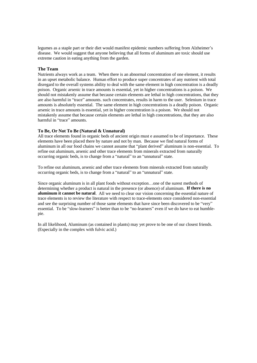legumes as a staple part or their diet would manifest epidemic numbers suffering from Alzheimer's disease. We would suggest that anyone believing that all forms of aluminum are toxic should use extreme caution in eating anything from the garden.

#### **The Team**

Nutrients always work as a team. When there is an abnormal concentration of one element, it results in an upset metabolic balance. Human effort to produce super concentrates of any nutrient with total disregard to the overall systems ability to deal with the same element in high concentration is a deadly poison. Organic arsenic in trace amounts is essential, yet in higher concentrations is a poison. We should not mistakenly assume that because certain elements are lethal in high concentrations, that they are also harmful in "trace" amounts. such concentrates, results in harm to the user. Selenium in trace amounts is absolutely essential. The same element in high concentrations is a deadly poison. Organic arsenic in trace amounts is essential, yet in higher concentration is a poison. We should not mistakenly assume that because certain elements are lethal in high concentrations, that they are also harmful in "trace" amounts.

#### **To Be, Or Not To Be (Natural & Unnatural)**

All trace elements found in organic beds of ancient origin must e assumed to be of importance. These elements have been placed there by nature and not by man. Because we find natural forms of aluminum in all our food chains we cannot assume that "plant derived" aluminum is non-essential. To refine out aluminum, arsenic and other trace elements from minerals extracted from naturally occurring organic beds, is to change from a "natural" to an "unnatural" state.

To refine out aluminum, arsenic and other trace elements from minerals extracted from naturally occurring organic beds, is to change from a "natural" to an "unnatural" state.

Since organic aluminum is in all plant foods without exception…one of the surest methods of determining whether a product is natural in the presence (or absence) of aluminum. **If there is no aluminum it cannot be natural**. All we need to clear our vision concerning the essential nature of trace elements is to review the literature with respect to trace-elements once considered non-essential and see the surprising number of those same elements that have since been discovered to be "very" essential. To be "slow-learners" is better than to be "no-learners" even if we do have to eat humblepie.

In all likelihood, Aluminum (as contained in plants) may yet prove to be one of our closest friends. (Especially in the complex with fulvic acid.)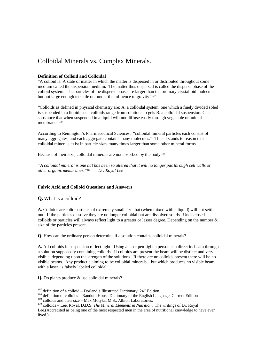## Colloidal Minerals vs. Complex Minerals.

#### **Definition of Colloid and Colloidal**

"A colloid is: A state of matter in which the matter is dispersed in or distributed throughout some medium called the dispersion medium. The matter thus dispersed is called the disperse phase of the colloid system. The particles of the disperse phase are larger than the ordinary crystalloid molecule, but not large enough to settle out under the influence of gravity." *107*

"Colloids as defined in physical chemistry are: A. a colloidal system, one which a finely divided soled is suspended in a liquid: such colloids range from solutions to gels B. a colloidal suspension. C. a substance that when suspended in a liquid will not diffuse easily through vegetable or animal membrane." *108*

According to Remington's Pharmaceutical Sciences: "colloidal mineral particles each consist of many aggregates, and each aggregate contains many molecules." Thus it stands to reason that colloidal minerals exist in particle sizes many times larger than some other mineral forms.

Because of their size, colloidal minerals are not absorbed by the body.*<sup>109</sup>*

*"A colloidal mineral is one hat has been so altered that it will no longer pas through cell walls or other organic membranes." <sup>110</sup> Dr. Royal Lee*

#### **Fulvic Acid and Colloid Questions and Answers**

**Q.** What is a colloid?

<u>.</u>

**A.** Colloids are solid particles of extremely small size that (when mixed with a liquid) will not settle out. If the particles dissolve they are no longer colloidal but are dissolved solids. Undisclosed colloids or particles will always reflect light to a greater or lesser degree. Depending on the number & size of the particles present.

**Q.** How can the ordinary person determine if a solution contains colloidal minerals?

**A.** All colloids in suspension reflect light. Using a laser pen-light a person can direct its beam through a solution supposedly containing colloids. If colloids are present the beam will be distinct and very visible, depending upon the strength of the solutions. If there are no colloids present there will be no visible beams. Any product claiming to be colloidal minerals…but which produces no visible beam with a laser, is falsely labeled colloidal.

**Q.** Do plants produce & use colloidal minerals?

 $107$  definition of a colloid – Dorland's Illustrated Dictionary,  $24<sup>th</sup>$  Edition.

<sup>&</sup>lt;sup>108</sup> definition of colloids – Random House Dictionary of the English Language, Current Edition <sup>109</sup> colloids and their size – Max Motyka, M.S., Albion Laboratories.

<sup>110</sup> colloids – Lee, Royal, D.D.S. *The Mineral Elements in Nutrition*. The writings of Dr. Royal Lee.(Accredited as being one of the most respected men in the area of nutritional knowledge to have ever lived.)+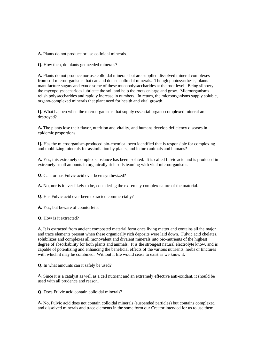**A.** Plants do not produce or use colloidal minerals.

**Q.** How then, do plants get needed minerals?

**A.** Plants do not produce nor use colloidal minerals but are supplied dissolved mineral complexes from soil microorganisms that can and do use colloidal minerals. Though photosynthesis, plants manufacture sugars and exude some of these mucopolysaccharides at the root level. Being slippery the mycopolysaccharides lubricate the soil and help the roots enlarge and grow. Microorganisms relish polysaccharides and rapidly increase in numbers. In return, the microorganisms supply soluble, organo-complexed minerals that plant need for health and vital growth.

**Q.** What happen when the microorganisms that supply essential organo-complexed mineral are destroyed?

**A.** The plants lose their flavor, nutrition and vitality, and humans develop deficiency diseases in epidemic proportions.

**Q.** Has the microorganism-produced bio-chemical been identified that is responsible for complexing and mobilizing minerals for assimilation by plants, and in turn animals and humans?

**A.** Yes, this extremely complex substance has been isolated. It is called fulvic acid and is produced in extremely small amounts in organically rich soils teaming with vital microorganisms.

**Q.** Can, or has Fulvic acid ever been synthesized?

**A.** No, nor is it ever likely to be, considering the extremely complex nature of the material.

**Q.** Has Fulvic acid ever been extracted commercially?

**A.** Yes, but beware of counterfeits.

**Q.** How is it extracted?

**A.** It is extracted from ancient composted material form once living matter and contains all the major and trace elements present when these organically rich deposits were laid down. Fulvic acid chelates, solubilizes and complexes all monovalent and divalent minerals into bio-nutrients of the highest degree of absorbability for both plants and animals. It is the strongest natural electrolyte know, and is capable of potentizing and enhancing the beneficial effects of the various nutrients, herbs or tinctures with which it may be combined. Without it life would cease to exist as we know it.

**Q.** In what amounts can it safely be used?

**A.** Since it is a catalyst as well as a cell nutrient and an extremely effective anti-oxidant, it should be used with all prudence and reason.

**Q.** Does Fulvic acid contain colloidal minerals?

**A.** No, Fulvic acid does not contain colloidal minerals (suspended particles) but contains complexed and dissolved minerals and trace elements in the some form our Creator intended for us to use them.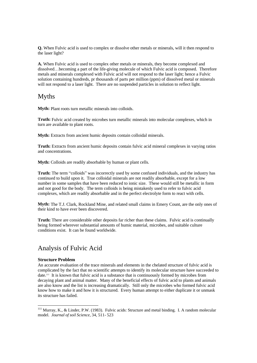**Q.** When Fulvic acid is used to complex or dissolve other metals or minerals, will it then respond to the laser light?

**A.** When Fulvic acid is used to complex other metals or minerals, they become complexed and dissolved…becoming a part of the life-giving molecule of which Fulvic acid is composed. Therefore metals and minerals complexed with Fulvic acid will not respond to the laser light; hence a Fulvic solution containing hundreds, pr thousands of parts per million (ppm) of dissolved metal or minerals will not respond to a laser light. There are no suspended particles in solution to reflect light.

## Myths

**Myth:** Plant roots turn metallic minerals into colloids.

**Truth:** Fulvic acid created by microbes turn metallic minerals into molecular complexes, which in turn are available to plant roots.

**Myth:** Extracts from ancient humic deposits contain colloidal minerals.

**Truth:** Extracts from ancient humic deposits contain fulvic acid mineral complexes in varying ratios and concentrations.

**Myth:** Colloids are readily absorbable by human or plant cells.

**Truth:** The term "colloids" was incorrectly used by some confused individuals, and the industry has continued to build upon it. True colloidal minerals are not readily absorbable, except for a low number in some samples that have been reduced to ionic size. These would still be metallic in form and not good for the body. The term colloids is being mistakenly used to refer to fulvic acid complexes, which are readily absorbable and in the perfect electrolyte form to react with cells.

**Myth:** The T.J. Clark, Rockland Mine, and related small claims in Emery Count, are the only ones of their kind to have ever been discovered.

**Truth:** There are considerable other deposits far richer than these claims. Fulvic acid is continually being formed wherever substantial amounts of humic material, microbes, and suitable culture conditions exist. It can be found worldwide.

## Analysis of Fulvic Acid

#### **Structure Problem**

-

An accurate evaluation of the trace minerals and elements in the chelated structure of fulvic acid is complicated by the fact that no scientific attempts to identify its molecular structure have succeeded to date.<sup>111</sup> It is known that fulvic acid is a substance that is continuously formed by microbes from decaying plant and animal matter. Many of the beneficial effects of fulvic acid to plants and animals are also know and the list is increasing dramatically. Still only the microbes who formed fulvic acid know how to make it and how it is structured. Every human attempt to either duplicate it or unmask its structure has failed.

 $111$  Murray, K., & Linder, P.W. (1983). Fulvic acids: Structure and metal binding. I. A random molecular model. *Journal of soil Science*, 34, 511- 523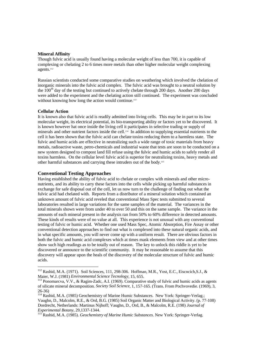#### **Mineral Affinity**

Though fulvic acid is usually found having a molecular weight of less than 700, it is capable of complexing or chelating 2 to 6 times more metals than other higher molecular weight complexing agents.*<sup>112</sup>*

Russian scientists conducted some comparative studies on weathering which involved the chelation of inorganic minerals into the fulvic acid complex. The fulvic acid was brought to a neutral solution by the 100<sup>th</sup> day of the testing but continued to actively chelate through 200 days. Another 200 days were added to the experiment and the chelating action still continued. The experiment was concluded without knowing how long the action would continue.*<sup>113</sup>*

#### **Cellular Action**

1

It is known also that fulvic acid is readily admitted into living cells. This may be in part to its low molecular weight, its electrical potential, its bio-transporting ability or factors yet to be discovered. It is known however hat once inside the living cell it participates in selective trading or supply of minerals and other nutrient factors inside the cell.*114* In addition to supplying essential nutrients to the cell it has been shown that the fulvic acid can chelate toxins reducing them to a harmless state. The fulvic and humic acids are effective in neutralizing such a wide range of toxic materials from heavy metals, radioactive waste, petro-chemicals and industrial waste that tests are soon to be conducted on a new system designed to compost land fill refuse using the fulvic and humic acids to safely render all toxins harmless. On the cellular level fulvic acid is superior for neutralizing toxins, heavy metals and other harmful substances and carrying these intruders out of the body.*<sup>115</sup>*

#### **Conventional Testing Approaches**

Having established the ability of fulvic acid to chelate or complex with minerals and other micronutrients, and its ability to carry these factors into the cells while picking up harmful substances in exchange for safe disposal out of the cell, let us now turn to the challenge of finding out what the fulvic acid had chelated with. Reports from a distributor of a mineral solution which contained an unknown amount of fulvic acid reveled that conventional Mass Spec tests submitted to several laboratories resulted in large variations for the same samples of the material. The variances in the total minerals shown were from under 40 to over 50 and this on the same sample. The variance in the amounts of each mineral present in the analysis ran from 50% to 60% difference in detected amounts. These kinds of results were of no value at all. This experience is not unusual with any conventional testing of fulvic or humic acid. Whether one used Mass Spec, Atomic Absorption, Fire Assay or other conventional detection approaches to find out what is complexed into these natural organic acids, and in what specific amounts, you will never come up with a uniform result. There are obvious factors in both the fulvic and humic acid complexes which at times mask elements from view and at other times show such high readings as to be totally out of reason. The key to unlock this riddle is yet to be discovered or announce to the scientific community. It may be reasonable to assume that this discovery will appear upon the heals of the discovery of the molecular structure of fulvic and humic acids.

<sup>112</sup> Rashid, M.A. (1971). Soil Sciences, 111, 298-306. Hoffman, M.R., Yost, E.C., Eiscncich,S.J., & Maier, W.J. (1981) *Environmental Science Tecnology*, 15, 655.

<sup>&</sup>lt;sup>113</sup> Ponomarcva, V.V., & Ragim-Zadc, A.I. (1969). Comparative study of fulvic and humic acids as agents of silicate mineral decomposition. *Society Soil Science*, 1, 157-165. (Trans. From Pochvovedie. (1969), 3, 26-36)

<sup>&</sup>lt;sup>114</sup> Rashid, M.A. (1985) Geochemistry of Marine Humic Substances. New York: Springer-Verlag.; Vaughn, D., Malcolm, R.E., & Ord, B.G. (1985) Soil Organic Matter and Biological Activity. (p. 77-108) Dordrecht, Netherlands: Martinus Nijhoff; Vaughn, D., Ord, B., & Malcolm, R.E. (198) *Journal of Experimental Botany*, 29,1337-1344.

<sup>115</sup> Rashid, M.A. (1985). *Geochemistry of Marine Humic Substances*. New York: Springer-Verlag.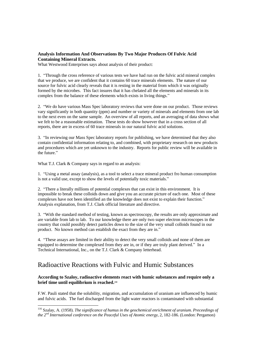#### **Analysis Information And Observations By Two Major Produces Of Fulvic Acid Containing Mineral Extracts.**

What Westwood Enterprises says about analysis of their product:

1. "Through the cross reference of various tests we have had run on the fulvic acid mineral complex that we produce, we are confident that it contains 60 trace minerals elements. The nature of our source for fulvic acid clearly reveals that it is resting in the material from which it was originally formed by the microbes. This fact insures that it has chelated all the elements and minerals in its complex from the balance of these elements which exists in living things."

2. "We do have various Mass Spec laboratory reviews that were done on our product. Those reviews vary significantly in both quantity (ppm) and number or variety of minerals and elements from one lab to the next even on the same sample. An overview of all reports, and an averaging of data shows what we felt to be a reasonable estimation. These tests do show however that in a cross section of all reports, there are in excess of 60 trace minerals in our natural fulvic acid solutions.

3. "In reviewing our Mass Spec laboratory reports for publishing, we have determined that they also contain confidential information relating to, and combined, with proprietary research on new products and procedures which are yet unknown to the industry. Reports for public review will be available in the future."

What T.J. Clark & Company says in regard to an analysis:

-

1. "Using a metal assay (analysis), as a tool to select a trace mineral product fro human consumption is not a valid use, except to show the levels of potentially toxic materials."

2. "There a literally millions of potential complexes that can exist in this environment. It is impossible to break these colloids down and give you an accurate picture of each one. Most of these complexes have not been identified an the knowledge does not exist to explain their function." Analysis explanation, from T.J. Clark official literature and directive.

3. "With the standard method of testing, known as spectroscopy, the results are only approximate and are variable from lab to lab. To our knowledge there are only two super electron microscopes in the country that could possibly detect particles down to the size of the very small colloids found in our product. No known method can establish the exact from they are in."

4. "These assays are limited in their ability to detect the very small colloids and none of them are equipped to determine the complexed from they are in, or if they are truly plant derived." In a Technical International, Inc., on the T.J. Clark & Company letterhead.

## Radioactive Reactions with Fulvic and Humic Substances

#### **According to Szaloy, radioactive elements react with humic substances and require only a brief time until equilibrium is reached.***<sup>116</sup>*

F.W. Pauli stated that the solubility, migration, and accumulation of uranium are influenced by humic and fulvic acids. The fuel discharged from the light water reactors is contaminated with substantial

<sup>116</sup> Szalay, A. (1958). *The significance of humus in the geochemical enrichment of uranium. Preceedings of the 2nd International conference on the Peaceful Uses of Atomic energy*, 2, 182-186. (London: Pergamon)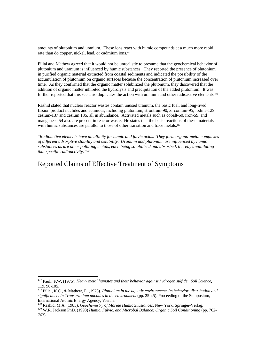amounts of plutonium and uranium. These ions react with humic compounds at a much more rapid rate than do copper, nickel, lead, or cadmium ions.*<sup>117</sup>*

Pillai and Mathew agreed that it would not be unrealistic to presume that the geochemical behavior of plutonium and uranium is influenced by humic substances. They reported the presence of plutonium in purified organic material extracted from coastal sediments and indicated the possibility of the accumulation of plutonium on organic surfaces because the concentration of plutonium increased over time. As they confirmed that the organic matter solubilized the plutonium, they discovered that the addition of organic matter inhibited the hydrolysis and precipitation of the added plutonium. It was further reported that this scenario duplicates the action with uranium and other radioactive elements.<sup>118</sup>

Rashid stated that nuclear reactor wastes contain unused uranium, the basic fuel, and long-lived fission product nuclides and actinides, including plutonium, strontium-90, zirconium-95, iodine-129, cesium-137 and cesium 135, all in abundance. Activated metals such as cobalt-60, iron-59, and manganese-54 also are present in reactor waste. He states that the basic reactions of these materials with humic substances are parallel to those of other transition and trace metals.<sup>119</sup>

"*Radioactive elements have an affinity for humic and fulvic acids. They form organo-metal complexes of different adsorptive stability and solubility. Uranuim and plutonium are influenced by humic substances as are other polluting metals, each being solubilized and absorbed, thereby annihilating that specific radioactivity." 120*

## Reported Claims of Effective Treatment of Symptoms

-

<sup>117</sup> Pauli, F.W. (1975). *Heavy metal humates and their behavior against hydrogen sulfide. Soil Science*, 119, 98-105.

<sup>118</sup> Pillai, K.C., & Mathew, E. (1976). *Plutonium in the aquatic environment: Its behavior, distribution and significance. In Transuranium nuclides in the environment* (pp. 25-45). Proceeding of the Sumposium, International Atomic Energy Agency, Vienna.

<sup>119</sup> Rashid, M.A. (1985). *Geochemistry of Marine Humic Substances*. New York: Springer-Verlag.

<sup>&</sup>lt;sup>120</sup> W.R. Jackson PhD. (1993) *Humic, Fulvic, and Microbal Balance: Organic Soil Conditioning* (pp. 762-763).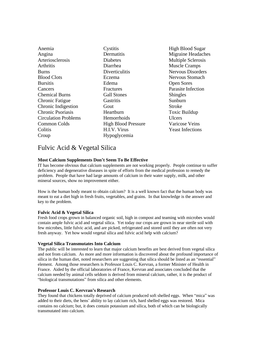| Anemia                      | Cystitis                   | Higl |
|-----------------------------|----------------------------|------|
| Angina                      | Dermatitis                 | Mig  |
| Arteriosclerosis            | <b>Diabetes</b>            | Mul  |
| Arthritis                   | Diarrhea                   | Mus  |
| <b>Burns</b>                | Diverticulitis             | Ner  |
| <b>Blood Clots</b>          | Eczema                     | Nery |
| <b>Bursitis</b>             | Edema                      | Ope  |
| Cancers                     | Fractures                  | Para |
| <b>Chemical Burns</b>       | <b>Gall Stones</b>         | Shin |
| <b>Chronic Fatigue</b>      | Gastritis                  | Sunl |
| Chronic Indigestion         | Gout                       | Stro |
| <b>Chronic Psoriasis</b>    | Heartburn                  | Tox: |
| <b>Circulation Problems</b> | Hemorrhoids                | Ulce |
| <b>Common Colds</b>         | <b>High Blood Pressure</b> | Vari |
| Colitis                     | H.I.V. Virus               | Yea  |
| Croup                       | Hypoglycemia               |      |
|                             |                            |      |

h Blood Sugar raine Headaches tiple Sclerosis scle Cramps vous Disorders vous Stomach n Sores nsite Infection igles burn  $ke$ ic Buildup ers icose Veins st Infections

## Fulvic Acid & Vegetal Silica

#### **Most Calcium Supplements Don't Seem To Be Effective**

IT has become obvious that calcium supplements are not working properly. People continue to suffer deficiency and degenerative diseases in spite of efforts from the medical profession to remedy the problem. People that have had large amounts of calcium in their water supply, milk, and other mineral sources, show no improvement either.

How is the human body meant to obtain calcium? It is a well known fact that the human body was meant to eat a diet high in fresh fruits, vegetables, and grains. In that knowledge is the answer and key to the problem.

#### **Fulvic Acid & Vegetal Silica**

Fresh food crops grown in balanced organic soil, high in compost and teaming with microbes would contain ample fulvic acid and vegetal silica. Yet today our crops are grown in near sterile soil with few microbes, little fulvic acid, and are picked, refrigerated and stored until they are often not very fresh anyway. Yet how would vegetal silica and fulvic acid help with calcium?

#### **Vegetal Silica Transmutates Into Calcium**

The public will be interested to learn that major calcium benefits are best derived from vegetal silica and not from calcium. As more and more information is discovered about the profound importance of silica in the human diet, noted researchers are suggesting that silica should be listed as an "essential" element. Among those researchers is Professor Louis C. Kervran, a former Minister of Health in France. Aided by the official laboratories of France, Kervran and associates concluded that the calcium needed by animal cells seldom is derived from mineral calcium, rather, it is the product of "biological transmutations" from silica and other elements.

#### **Professor Louis C. Kervran's Research**

They found that chickens totally deprived of calcium produced soft shelled eggs. When "mica" was added to their diets, the hens' ability to lay calcium rich, hard shelled eggs was restored. Mica contains no calcium; but, it does contain potassium and silica, both of which can be biologically transmutated into calcium.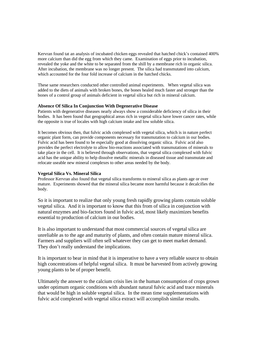Kervran found tat an analysis of incubated chicken eggs revealed that hatched chick's contained 400% more calcium than did the egg from which they came. Examination of eggs prior to incubation, revealed the yoke and the white to be separated from the shill by a membrane rich in organic silica. After incubation, the membrane was no longer present. The silica had transmutated into calcium, which accounted for the four fold increase of calcium in the hatched chicks.

These same researchers conducted other controlled animal experiments. When vegetal silica was added to the diets of animals with broken bones, the bones healed much faster and stronger than the bones of a control group of animals deficient in vegetal silica but rich in mineral calcium.

#### **Absence Of Silica In Conjunction With Degenerative Disease**

Patients with degenerative diseases nearly always show a considerable deficiency of silica in their bodies. It has been found that geographical areas rich in vegetal silica have lower cancer rates, while the opposite is true of locales with high calcium intake and low soluble silica.

It becomes obvious then, that fulvic acids complexed with vegetal silica, which is in nature perfect organic plant form, can provide components necessary for transmutation to calcium in our bodies. Fulvic acid has been found to be especially good at dissolving organic silica. Fulvic acid also provides the perfect electrolyte to allow bio-reactions associated with transmutations of minerals to take place in the cell. It is believed through observations, that vegetal silica complexed with fulvic acid has the unique ability to help dissolve metallic minerals in diseased tissue and transmutate and relocate useable new mineral complexes to other areas needed by the body.

#### **Vegetal Silica Vs. Mineral Silica**

Professor Kervran also found that vegetal silica transforms to mineral silica as plants age or over mature. Experiments showed that the mineral silica became more harmful because it decalcifies the body.

So it is important to realize that only young fresh rapidly growing plants contain soluble vegetal silica. And it is important to know that this from of silica in conjunction with natural enzymes and bio-factors found in fulvic acid, most likely maximizes benefits essential to production of calcium in our bodies.

It is also important to understand that most commercial sources of vegetal silica are unreliable as to the age and maturity of plants, and often contain mature mineral silica. Farmers and suppliers will often sell whatever they can get to meet market demand. They don't really understand the implications.

It is important to bear in mind that it is imperative to have a very reliable source to obtain high concentrations of helpful vegetal silica. It must be harvested from actively growing young plants to be of proper benefit.

Ultimately the answer to the calcium crisis lies in the human consumption of crops grown under optimum organic conditions with abundant natural fulvic acid and trace minerals that would be high in soluble vegetal silica. In the mean time supplementations with fulvic acid complexed with vegetal silica extract will accomplish similar results.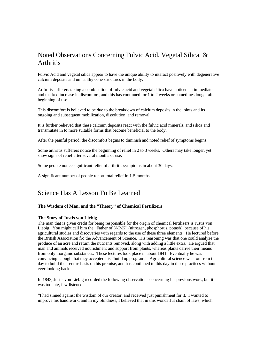## Noted Observations Concerning Fulvic Acid, Vegetal Silica, & **Arthritis**

Fulvic Acid and vegetal silica appear to have the unique ability to interact positively with degenerative calcium deposits and unhealthy cone structures in the body.

Arthritis sufferers taking a combination of fulvic acid and vegetal silica have noticed an immediate and marked increase in discomfort, and this has continued for 1 to 2 weeks or sometimes longer after beginning of use.

This discomfort is believed to be due to the breakdown of calcium deposits in the joints and its ongoing and subsequent mobilization, dissolution, and removal.

It is further believed that these calcium deposits react with the fulvic acid minerals, and silica and transmutate in to more suitable forms that become beneficial to the body.

After the painful period, the discomfort begins to diminish and noted relief of symptoms begins.

Some arthritis sufferers notice the beginning of relief in 2 to 3 weeks. Others may take longer, yet show signs of relief after several months of use.

Some people notice significant relief of arthritis symptoms in about 30 days.

A significant number of people report total relief in 1-5 months.

## Science Has A Lesson To Be Learned

#### **The Wisdom of Man, and the "Theory" of Chemical Fertilizers**

#### **The Story of Justis von Liebig**

The man that is given credit for being responsible for the origin of chemical fertilizers is Justis von Liebig. You might call him the "Father of N-P-K" (nitrogen, phosphorus, potash), because of his agricultural studies and discoveries with regards to the use of these three elements. He lectured before the British Association fro the Advancement of Science. His reasoning was that one could analyze the produce of an acre and return the nutrients removed, along with adding a little extra. He argued that man and animals received nourishment and support from plants, whereas plants derive their means from only inorganic substances. These lectures took place in about 1841. Eventually he was convincing enough that they accepted his "build up program." Agricultural science went on from that day to build their entire basis on his premise, and has continued to this day in these practices without ever looking back.

In 1843, Justis von Liebig recorded the following observations concerning his previous work, but it was too late, few listened:

"I had sinned against the wisdom of our creator, and received just punishment for it. I wanted to improve his handiwork, and in my blindness, I believed that in this wonderful chain of laws, which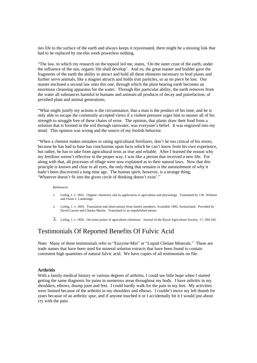ties life to the surface of the earth and always keeps it rejuvenated, there might be a missing link that had to be replaced by me-this week powerless nothing.

"The law, to which my research on the topsoil led me, states, 'On the outer crust of the earth, under the influence of the sun, organic life shall develop'. And so, the great master and builder gave the fragments of the earth the ability to attract and hold all these elements necessary to feed plants and further serve animals, like a magnet attracts and holds iron particles, so as no piece be lost. Our master enclosed a second law unto this one, through which the plant bearing earth becomes an enormous cleansing apparatus for the water. Through this particular ability, the earth removes from the water all substances harmful to humans and animals-all products of decay and putrefaction, of perished plant and animal generations.

"What might justify my actions is the circumstance, that a man is the product of his time, and he is only able to escape the commonly accepted views if a violent pressure urges him to muster all of his strength to struggle free of these chains of error. The opinion, that plants draw their food from a solution that is formed in the soil through rainwater, was everyone's belief. It was engraved into my mind. This opinion was wrong and the source of my foolish behavior.

"When a chemist makes mistakes in rating agricultural fertilizers, don't be too critical of his errors, because he has had to base has conclusions upon facts which he can't know from his own experience, but rather, he has to take from agricultural texts as true and reliable. After I learned the reason why my fertilizer weren't effective in the proper way, I was like a person that received a new life. For along with that, all processes of tillage were now explained as to their natural laws. Now that this principle is known and clear to all eyes, the only thing that remains is the astonishment of why it hadn't been discovered a long time age. The human spirit, however, is a strange thing; 'Whatever doesn't fit into the given circle of thinking doesn't exist'."

#### References:

- 1. Liebig, J. v. 1841. Organic chemistry and its application to agriculture and physiology. Translated by J.W. Webster and Owen J. Cambridge.
- 2. Liebig, J. v. 1843. Translation and observations from family members; Available 1992, Switzerland. Provided by David Larson and Charles Martin. Translated to an unpublished memo.
- 3. Liebig, J. v. 1856. On some points of agriculture chemistry. Journal of the Royal Agriculture Society, 17, 284-326.

## Testimonials Of Reported Benefits Of Fulvic Acid

Note: Many of these testimonials refer to "Enzyme-Min" or "Liquid Chelate Minerals." These are trade names that have been used for mineral solution extracts that have been found to contain consistent high quantities of natural fulvic acid. We have copies of all testimonials on file.

#### **Arthritis**

With a family medical history or various degrees of arthritis, I could see little hope when I started getting the same diagnosis for pains in numerous areas throughout my body. I have arthritis in my shoulders, elbows, thump joint and feet. I could hardly walk for the pain in my feet. My activities were limited because of the arthritis in my shoulders and elbows. I couldn't move my left thumb for years because of an arthritic spur, and if anyone touched it or I accidentally hit it I would just about cry with the pain.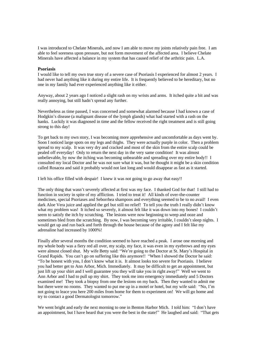I was introduced to Chelate Minerals, and now I am able to move my joints relatively pain free. I am able to feel soreness upon pressure, but not form movement of the affected area. I believe Chelate Minerals have affected a balance in my system that has caused relief of the arthritic pain. L.A.

#### **Psoriasis**

I would like to tell my own true story of a severe case of Psoriasis I experienced for almost 2 years. I had never had anything like it during my entire life. It is frequently believed to be hereditary, but no one in my family had ever experienced anything like it either.

Anyway, about 2 years ago I noticed a slight rash on my wrists and arms. It itched quite a bit and was really annoying, but still hadn't spread any further.

Nevertheless as time passed, I was concerned and somewhat alarmed because I had known a case of Hodgkin's disease (a malignant disease of the lymph glands) what had started with a rash on the hanks. Luckily it was diagnosed in time and the fellow received the right treatment and is still going strong to this day!

To get back to my own story, I was becoming more apprehensive and uncomfortable as days went by. Soon I noticed large spots on my legs and thighs. They were actually purple in color. Then a problem spread to my scalp. It was very dry and cracked and most of the skin from the entire scalp could be pealed off everyday! Only to return the next day in the very same condition! It was almost unbelievable, by now the itching was becoming unbearable and spreading over my entire body!! I consulted my local Doctor and he was not sure what it was, but he thought it might be a skin condition called Rosacea and said it probably would not last long and would disappear as fast as it started.

I left his office filled with despair! I knew it was not going to go away that easy!!

The only thing that wasn't severely affected at first was my face. I thanked God for that! I still had to function in society in spite of my affliction. I tried to treat it! All kinds of over-the-counter medicines, special Psoriases and Seborrhea shampoos and everything seemed to be to no avail! I even dark Aloe Vera juice and applied the gel but still no relief! To tell you the truth I really didn't know what my problem was! It itched so severely, it almost felt like it was down into my bones! I couldn't seem to satisfy the itch by scratching. The lesions were now beginning to weep and ooze and sometimes bled from the scratching. By now, I was becoming very irritable, I couldn't sleep nights. I would get up and run back and forth through the house because of the agony and I felt like my adrenaline had increased by 1000%!

Finally after several months the condition seemed to have reached a peak. I arose one morning and my whole body was a fiery red all over, my scalp, my face, it was even in my eyebrows and my eyes were almost closed shut. My wife Betty said: "We're going to the Doctor at St. Mary's Hospital in Grand Rapids. You can't go on suffering like this anymore!! "When I showed the Doctor he said: "To be honest with you, I don't know what it is. It almost looks too severe for Psoriasis. I believe you had better get to Ann Arbor, Mich. Immediately. It may be difficult to get an appointment, but just lift up your shirt and I well guarantee you they will take you in right away!" Well we went to Ann Arbor and I had to pull up my shirt. They took me into emergency immediately and 5 Doctors examined me! They took a biopsy from one the lesions on my back. Then they wanted to admit me but there were no rooms. They wanted to put me up in a motel or hotel, but my wife said: "No, I'm not going to leace you here 200 miles from home for them to experiment on! We will go home and try to contact a good Dermatologist tomorrow."

We went bright and early the next morning to one in Benton Harbor Mich. I told him: "I don't have an appointment, but I have heard that you were the best in the state!" He laughed and said: "That gets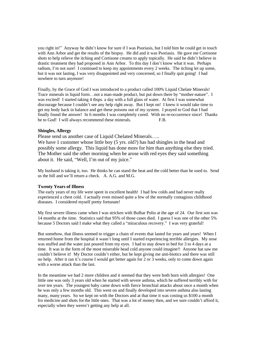you right in!" Anyway he didn't know for sure if I was Psoriasis, but I told him he could get in touch with Ann Arbor and get the results of the biopsy. He did and it was Psoriasis. He gave me Cortisone shots to help relieve the itching and Cortisone creams to apply topically. He said he didn't believe in drastic treatment they had proposed in Ann Arbor. To this day I don't know what it was. Perhaps radium, I'm not sure! I continued to keep my appointments every 2 weeks. The itching let up some, but it was not lasting, I was very disappointed and very concerned, so I finally quit going! I had nowhere to turn anymore!

Finally, by the Grace of God I was introduced to a product called 100% Liquid Chelate Minerals! Trace minerals in liquid form... not a man-made product, but put down there by "mother-nature". I was excited! I started taking 4 tbsps. a day with a full glass of water. At first I was somewhat discourage because I couldn't see any help right away. But I kept on! I knew it would take time to get my body back in balance and get these poisons out of my system. I prayed to God that I had finally found the answer! In 6 months I was completely cured. With no re-occurrence since! Thanks be to God! I will always recommend these minerals. F.B.

#### **Shingles, Allergy**

Please send us another case of Liquid Chelated Minerals…..

We have 1 customer whose little boy (5 yrs. old?) has had shingles in the head and possibly some allergy. This liquid has done more for him than anything else they tried. The Mother said the other morning when he arose with red eyes they said something about it. He said, "Well, I'm out of my juice."

My husband is taking it, too. He thinks he can stand the heat and the cold better than he used to. Send us the bill and we'll return a check. A. A.G. and M.G.

#### **Twenty Years of Illness**

The early years of my life were spent in excellent health! I had few colds and had never really experienced a chest cold. I actually even missed quite a few of the normally contagious childhood diseases. I considered myself pretty fortunate!

My first severe illness came when I was stricken with Bulbar Polio at the age of 24. Our first son was 14 months at the time. Statistics said that 95% of those cases died. I guess I was one of the other 5% because 5 Doctors said I make what they called a "miraculous recovery." I was very grateful!

But somehow, that illness seemed to trigger a chain of events that lasted for years and years! When I returned home from the hospital it wasn't long until I started experiencing terrible allergies. My nose was stuffed and the water just poured from my eyes. I had to stay down in bed for 3 to 4 days at a time. It was in the form of the most miserable head cold anyone could imagine!! Anyone hat saw me couldn't believe it! My Doctor couldn't either, but he kept giving me anti-biotics and there was still no help. After it ran it's course I would get better again for 2 or 3 weeks, only to come down again with a worse attack than the last.

In the meantime we had 2 more children and it seemed that they were both born with allergies! One little one was only 3 years old when he started with severe asthma, which he suffered terribly with for over ten years. The youngest baby came down with fierce bronchial attacks about once a month when he was only a few months old. This went on and finally developed into severe asthma also lasting many, many years. So we kept on with the Doctors and at that time it was costing us \$100 a month fro medicine and shots for the little ones. That was a lot of money then, and we sure couldn't afford it, especially when they weren't getting any help at all.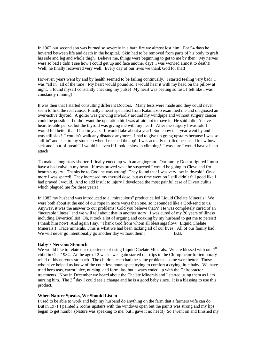In 1962 our second son was burned so severely in a barn fire we almost lost him! For 54 days he hovered between life and death in the hospital. Skin had to be removed from parts of his body to graft his side and leg and whole thigh. Believe me, things were beginning to get to me by then! My nerves were so bad I didn't see how I could get up and face another day! I was worried almost to death!! Well, he finally recovered very well. Every day of our lives we thank God for that!

However, years went by and by health seemed to be failing continually. I started feeling very bad! I was "all in" all of the time! My heart would pound so, I would hear it with my head on the pillow at night. I found myself constantly checking my pulse! My heart was beating so fast, I felt like I was constantly running!

It was then that I started consulting different Doctors. Many tests were made and they could never seem to find the real cause. Finally a heart specialist from Kalamazoo examined me and diagnosed an over-active thyroid. A goiter was growing inwardly around my windpipe and without surgery cancer could be possible. I didn't want the operation bit I was afraid not to have it. He said I didn't have heart trouble per se, but the thyroid was giving me with my heart! After the surgery I was told I would fell better than I had in years. It would take about a year! Somehow that year went by and I was still sick! I couldn't walk any distance anymore. I had to give up going upstairs because I was so "all-in" and sick to my stomach when I reached the top! I was actually terrified because I knew how sick and "out-of-breath" I would be even if I took it slow in climbing! I was sure I would have a heart attack!

To make a long story shorter, I finally ended up with an angiogram. Our family Doctor figured I must have a bad valve in my heart. If tests proved what he suspected I would be going to Cleveland fro hearth surgery! Thanks be to God, he was wrong! They found that I was very low in thyroid! Once more I was spared! They increased my thyroid dose, but as time went on I still didn't fell good like I had prayed I would. And to add insult to injury I developed the most painful case of Diverticulitis which plagued me for three years!

In 1983 my husband was introduced to a "miraculous" product called Liquid Chelate Minerals! We were both about at the end of our rope in more ways than one, so it sounded like a God-send to us. Anyway, it was the answer to our problems! Cold you believe that?? He was completely cured of an "incurable illness" and we will tell about that in another story! I was cured of my 20 years of illness including Diverticulitis! Oh, it took a lot of arguing and coaxing by my husband to get me to persist! I thank him now! And again I say, "Thank God from whom all blessings flow! Liquid Chelate Minerals!! Trace minerals…this is what we had been lacking all of our lives! All of our family had! We will never go intentionally go another day without them! B.B.

#### **Baby's Nervous Stomach**

We would like to relate our experience of using Liquid Chelate Minerals. We are blessed with our  $7<sup>th</sup>$ child in Oct. 1984. At the age of 2 weeks we again started our trips to the Chiropractor for temporary relief of his nervous stomach. The children each had the same problems, some were better. Those who have helped us know of the countless hours spent trying to comfort a crying little baby. We have tried herb teas, carrot juice, nursing, and formulas, but always ended up with the Chiropractor treatments. Now in December we heard about the Chelate Minerals and I started using them as I am nursing him. The  $3<sup>rd</sup>$  day I could see a change and he is a good baby since. It is a blessing to use this product.

#### **When Nature Speaks, We Should Listen**

I used to be able to work and help my husband do anything on the farm that a farmers wife can do. But in 1971 I painted 2 rooms upstairs with the windows open but the paints was strong and my lips began to get numb! (Nature was speaking to me, but I gave it no heed!) So I went on and finished my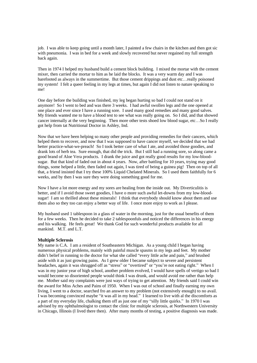job. I was able to keep going until a month later, I painted a few chairs in the kitchen and then got sic with pneumonia. I was in bed for a week and slowly recovered but never regained my full strength back again.

Then in 1974 I helped my husband build a cement block building. I mixed the mortar with the cement mixer, then carried the mortar to him as he laid the blocks. It was a very warm day and I was barefooted as always in the summertime. But those cement drippings and dust etc…really poisoned my system! I felt a queer feeling in my legs at times, but again I did not listen to nature speaking to me!

One day before the building was finished, my leg began hurting so bad I could not stand on it anymore! So I went to bed and was there 3 weeks. I had awful swollen legs and the one opened at one place and ever since I have a running sore. I used many good remedies and many good salves. My friends wanted me to have a blood test to see what was really going on. So I did, and that showed cancer internally at the very beginning. Then more other tests shoed low blood sugar, etc…So I really got help from tat Nutritional Doctor in Ashley, Ind.

Now that we have been helping so many other people and providing remedies for their cancers, which helped them to recover, and now that I was supposed to have cancer myself, we decided that we had better practice-what-we-preach! So I took better care of what I ate, and avoided those goodies, and drank lots of herb tea. Sure enough, that did the trick. But I still had a running sore, so along came a good brand of Aloe Vera products. I drank the juice and got really good results for my low-bloodsugar. But that kind of faded out in about 4 years. Now, after battling for 10 years, trying may good things, some helped a little, then faded out again, I was tired of being a guinea pig! Then on top of all that, a friend insisted that I try these 100% Liquid Chelated Minerals. So I used them faithfully for 6 weeks, and by then I was sure they were doing something good for me.

Now I have a lot more energy and my sores are healing from the inside out. My Diverticulitis is better, and if I avoid those sweet goodies, I have o more such awful let-downs from my low-bloodsugar! I am so thrilled about these minerals! I think that everybody should know about them and use them also so they too can enjoy a better way of life. I once more enjoy to work as I please.

My husband used 1 tablespoon in a glass of water in the morning, just for the usual benefits of them for a few weeks. Then he decided to take 2 tablespoonfuls and noticed the differences in his energy and his walking. He feels great! We thank God for such wonderful products available for all mankind. M.T. and L.T.

#### **Multiple Sclerosis**

My name is C.A. I am a resident of Southeastern Michigan. As a young child I began having numerous physical problems, mainly with painful muscle spasms in my legs and feet. My mother didn't belief in running to the doctor for what she called "every little ache and pain," and brushed aside with it as just growing pains. As I grew older I became subject to severe and persistent headaches, again it was shrugged off as "stress" or "overtired" or "you're not eating right." When I was in my junior year of high school, another problem evolved, I would have spells of vertigo so bad I would become so disoriented people would think I was drunk, and would avoid me rather than help me. Mother said my complaints were just ways of trying to get attention. My friends said I could win the award for Miss Aches and Pains of 1950. When I was out of school and finally earning my own living, I went to a doctor, searched fro an answer to my problem (not extensively enough) to no avail. I was becoming convinced maybe "it was all in my head." I learned to live with al the discomforts as a part of my everyday life, chalking them off as just one of my "silly little quirks." In 1970 I was advised by my ophthalmologist to contact the clinic for multiple sclerosis, at Northwestern University in Chicago, Illinois (I lived there then). After many months of testing, a positive diagnosis was made.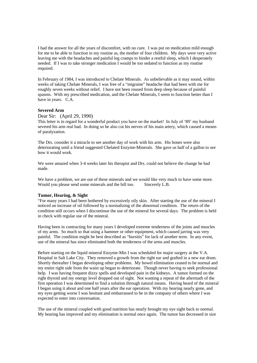I had the answer for all the years of discomfort, with no cure. I was put on medication mild enough for me to be able to function in my routine as, the mother of four children. My days were very active leaving me with the headaches and painful leg cramps to hinder a restful sleep, which I desperately needed. If I was to take stronger medication I would be too sedated to function as my routine required.

In February of 1984, I was introduced to Chelate Minerals. As unbelievable as it may sound, within weeks of taking Chelate Minerals, I was free of a "migraine" headache that had been with me for roughly seven weeks without relief. I have not been roused from deep sleep because of painful spasms. With my prescribed medication, and the Chelate Minerals, I seem to function better than I have in years. C.A.

#### **Severed Arm**

#### Dear Sir: (April 29, 1990)

This letter is in regard for a wonderful product you have on the market! In July of '89' my husband severed his arm real bad. In doing so he also cut his nerves of his main artery, which caused a means of paralyzation.

The Drs. consider it a miracle to see another day of work with his arm. His bones were also deteriorating until a friend suggested Chelated Enzyme-Minerals. She gave us half of a gallon to see how it would work.

We were amazed when 3-4 weeks later his therapist and Drs. could not believe the change he had made.

We have a problem, we are out of these minerals and we would like very much to have some more. Would you please send some minerals and the bill too. Sincerely L.B.

#### **Tumor, Hearing, & Sight**

"For many years I had been bothered by excessively oily skin. After starting the use of the mineral I noticed an increase of oil followed by a normalizing of the abnormal condition. The return of the condition still occurs when I discontinue the use of the mineral for several days. The problem is held in check with regular use of the mineral.

Having been in contracting for many years I developed extreme tenderness of the joints and muscles of my arms. So much so that using a hammer or other equipment, which caused jarring was very painful. The condition might be best described as "bursitis" for lack of another term. In any event, use of the mineral has since eliminated both the tenderness of the arms and muscles.

Before starting on the liquid mineral Enzyme-Min I was scheduled for major surgery at the V.A. Hospital in Salt Lake City. They removed a growth from the right ear and grafted in a new ear drum. Shortly thereafter I began developing other problems. My bowel elimination ceased to be normal and my entire right side from the waist up began to deteriorate. Though never having to seek professional help. I was having frequent dizzy spells and developed pain in the kidneys. A tumor formed on the right thyroid and my energy level dropped out of sight. Not wanting a repeat of the aftermath of the first operation I was determined to find a solution through natural means. Having heard of the mineral I began using it about and one half years after the ear operation. With my hearing nearly gone, and my eyes getting worse I was hesitant and embarrassed to be in the company of others where I was expected to enter into conversation.

The use of the mineral coupled with good nutrition has nearly brought my eye sight back to normal. My hearing has improved and my elimination is normal once again. The tumor has decreased in size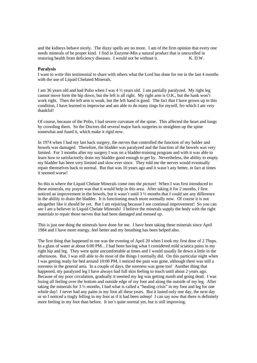and the kidneys behave nicely. The dizzy spells are no more. I am of the firm opinion that every one needs minerals of he proper kind. I find in Enzyme-Min a natural product that is unexcelled in restoring health from deficiency diseases. I would not be without it. K. D.W.

#### **Paralysis**

I want to write this testimonial to share with others what the Lord has done for me in the last 4 months with the use of Liquid Chelated Minerals.

I am 36 years old and had Polio when I was 4 ½ years old. I am partially paralyzed. My right leg cannot move form the hip down, but the left is all right. My right arm is O.K., but the hank won't work right. Then the left arm is weak, but the left hand is good. The fact that I have grown up in this condition, I have learned to improvise and am able to do many tings for myself, fro which I am very thankful!

Of course, because of the Polio, I had severe curvature of the spine. This affected the heart and lungs by crowding them. So the Doctors did several major back surgeries to straighten up the spine somewhat and fused it, which make it rigid now.

In 1974 when I had my last back surgery, the nerves that controlled the function of my balder and bowels was damaged. Therefore, the bladder was paralyzed and the function of the bowels was very limited. For 3 months after my surgery I was on a bladder-training program and with it was able to learn how to satisfactorily drain my bladder good enough to get by. Nevertheless, the ability to empty my bladder has been very limited and slow ever since. They told me the nerves would eventually repair themselves back to normal. But that was 10 years ago and it wasn't any better, in fact at times it seemed worse!

So this is where the Liquid Chelate Minerals come into the picture! When I was first introduced to these minerals, my prayer was that it would help in this area. After taking it for 2 months, I first noticed an improvement in the bowels, but it wasn't until 3 ½ months that I could see any difference in the ability to drain the bladder. It is functioning much more normally now. Of course it is not altogether like it should be yet. But I am rejoicing because I see continual improvement! So you can see I am a believer in Liquid Chelate Minerals! I believe the minerals supply the body with the right materials to repair those nerves that had been damaged and messed up.

This is just one thing the minerals have done for me. I have been taking these minerals since April 1984 and I have more energy, feel better and my breathing has been helped also.

The first thing that happened to me was the evening of April 20 when I took my first dose of 2 Tbsps. In a glass of water at about 6:00 PM…I had been having what I considered mild sciatica pains in my right hip and leg. They were quite uncomfortable at times and I would usually lie down a little in the afternoons. But, I was still able to do most of the things I normally did. On this particular night when I was getting ready for bed around 10:00 PM, I noticed the pain was gone, although there was still a soreness in the general area. In a couple of days, the soreness was gone too! Another thing that happened, my paralyzed leg I have always had full skin feeling to touch until about 2 years ago. Because of my poor circulation, gradually it seemed my leg was getting numb and going dead. I was losing all feeling over the bottom and outside edge of my foot and along the outside of my leg. After taking the minerals for  $3\frac{1}{2}$  months, I had what is called a "healing crisis" in my foot and leg for one whole day! I never had any pains in my foot all these years. But it lasted only one day, the next day or so I noticed a tingly felling in my foot as if it had been asleep! I can say now that there is definitely more feeling in my foot than before. It isn't quite normal yet, but is still improving.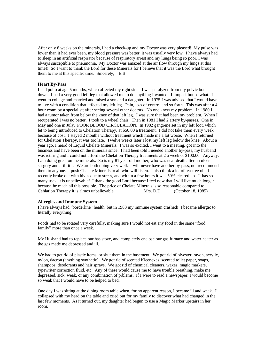After only 8 weeks on the minerals, I had a check-up and my Doctor was very pleased! My pulse was lower than it had ever been, my blood pressure was better, it was usually very low. I have always had to sleep in an artificial respirator because of respiratory arrest and my lungs being so poor, I was always susceptible to pneumonia. My Doctor was amazed at the air flow through my lungs at this time!! So I want to thank the Lord for these Minerals for I believe that it was the Lord what brought them to me at this specific time. Sincerely, E.B.

#### **Heart By-Pass**

I had polio at age 5 months, which affected my right side. I was paralyzed from my pelvic bone down. I had a very good left leg that allowed me to do anything I wanted. I limped, but so what. I went to college and married and raised a son and a daughter. In 1975 I was advised that I would have to live with a condition that affected my left leg. Pain, loss of control and so forth. This was after a 4 hour exam by a specialist; after seeing several other doctors. No one knew my problem. In 1980 I had a tumor taken from below the knee of that left leg. I was sure that had been my problem. When I recuperated I was no better. I took to a wheel chair. Then in 1981 I had 2 artery by-passes. One in May and one in July. POOR BLOOD CIRCULATION. In 1982 gangrene set in my left foot, which let to being introduced to Chelation Therapy, at \$50.00 a treatment. I did not take them every week because of cost. I stayed 2 months without treatment which made me a lot worse. When I returned for Chelation Therapy, it was too late. Twelve weeks later I lost my left leg below the knee. About a year ago, I heard of Liquid Chelate Minerals. I was so excited, I went to a meeting, got into the business and have been on the minerals since. I had been told I needed another by-pass, my husband was retiring and I could not afford the Chelation Therapy treatments at 2 a week or \$100.00. Anyway, I am doing great on the minerals. So is my 81 year old mother, who was near death after an ulcer surgery and arthritis. We are both doing very well. I will never have another by-pass, not recommend them to anyone. I push Chelate Minerals to all who will listen. I also think a lot of tea-tree oil. I recently broke out with hives due to stress, and within a few hours it was 50% cleared up. It has so many uses, it is unbelievable! I thank the good Lord because I feel now that I will live much longer because he made all this possible. The price of Chelate Minerals is so reasonable compared to Cehlation Therapy it is almos unbelievable. Mrs. D.D. (October 18, 1985)

#### **Allergies and Immune System**

I have always had "borderline" health, but in 1983 my immune system crashed! I became allergic to literally everything.

Foods had to be rotated very carefully, making sure I would not eat any food in the same "food family" more than once a week.

My Husband had to replace our has stove, and completely enclose our gas furnace and water heater as the gas made me depressed and ill.

We had to get rid of plastic items, or shut them in the basement. We got rid of plyester, rayon, acrylic, nylon, dacron (anything synthetic). We got rid of scented Kleenexes, scented toilet paper, soaps, shampoos, deodorants and hair sprays. We got rid of chemical cleaners, waxes, magic markers, typewriter correction fluid, etc. Any of these would cause me to have trouble breathing, make me depressed, sick, weak, or any combination of prblems. If I were to read a newspaper, I would become so weak that I would have to be helped to bed.

One day I was sitting at the dining room table when, for no apparent reason, I became ill and weak. I collapsed with my head on the table and cried out for my family to discover what had changed in the last few moments. As it turned out, my daughter had begun to use a Magic Marker upstairs in her room.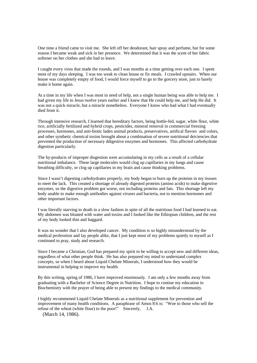One time a friend came to visit me. She left off her deodorant, hair spray and perfume, but for some reason I became weak and sick in her presence. We determined that it was the scent of her fabric softener on her clothes and she had to leave.

I caught every virus that made the rounds, and I was months at a time getting over each one. I spent most of my days sleeping. I was too weak to clean house or fix meals. I crawled upstairs. When our house was completely empty of food, I would force myself to go to the gorcery store, just to barely make it home again.

At a time in my life when I was most in need of help, not a single human being was able to help me. I had given my life to Jesus twelve years earlier and I knew that He could help me, and help He did. It was not a quick miracle, but a miracle nonetheless. Everyone I know who had what I had eventually died from it.

Through intensive research, I learned that hereditary factors, being bottle-fed, sugar, white flour, white rice, aritficially fertilized and hybrid crops, pesticides, mineral removal in commercial freezing processes, hormones, and anti-biotic laden animal products, preservatives, artifical flavors and colors, and other synthetic chemical toxins brought about a combination of severe nutritional deiciencies that prevented the production of necessary ddigestive enzymes and hormones. This affected carbohydrate digestion particularly.

The by-products of improper disgestion were accumulating in my cells as a result of a cellular nutritional imbalance. These large molecules would clog up capillaries in my lungs and cause breathing difficulty, or clog up capillaries in my brain and cause thinking problems.

Since I wasn't digesting carbohydrates properly, my body began to burn up the proteins in my tissues to meet the lack. This created a shortage of already digested proteins (amino acids) to make digestive enzymes, so the digestive problem got worse, not including proteins and fats. This shortage left my body unable to make enough antibodies against viruses and bacteria, not to mention hormones and other important factors.

I was literally starving to death in a slow fashion in spite of all the nutritious food I had learned to eat. My abdomen was bloated with water and toxins and I looked like the Ethiopian children, and the rest of my body looked thin and haggard.

It was no wonder that I also developed cancer. My condition is so highly misunderstood by the medical professtion and lay people alike, that I just kept most of my problems quietly to myself as I continued to pray, study and research.

Since I became a Christian, God has prepared my spirit to be willing to accept new and different ideas, regardless of what other people think. He has also prepared my mind to understand complex concepts, so when I heard about Liquid Chelate Minerals, I understood how they would be instrumental in helping to improve my health.

By this writing, spring of 1986, I have improved enormously. I am only a few months away from graduating with a Bachelor of Science Degree in Nutrition. I hope to contiue my education in Biochemistry with the prayer of being able to present my findings to the medical community.

I highly recommened Liquid Chelate Minerals as a nutritional supplement for prevention and improvement of many health conditions. A paraphrase of Amos 8:6 is: "Woe to those who sell the refuse of the wheat (white flour) to the poor!" Sincerely, J.A.

(March 14, 1986).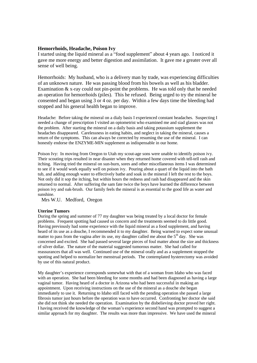#### **Hemorrhoids, Headache, Poison Ivy**

I started using the liquid mineral as a "food supplement" about 4 years ago. I noticed it gave me more energy and better digestion and assimilation. It gave me a greater over all sense of well being.

Hemorrhoids: My husband, who is a delivery man by trade, was experiencing difficulties of an unknown nature. He was passing blood from his bowels as well as his bladder. Examination & x-ray could not pin-point the problems. He was told only that he needed an operation for hemorrhoids (piles). This he refused. Being urged to try the mineral he consented and began using 3 or 4 oz. per day. Within a few days time the bleeding had stopped and his general health began to improve.

Headache: Before taking the mineral on a dialy basis I experienced constant headaches. Suspecting I needed a change of prescription I visited an optometrist who examined me and siad glasses was not the problem. After starting the mineral on a daily basis and taking potassium supplement the headaches disappeared. Carelessness in eating habits, and neglect in taking the mineral, causes a return of the symptoms. This can always be corrected by resuming the use of the mineral. I can honestly endorse the ENZYME-MIN supplement as indispensable in our home.

Poison Ivy: In moving from Oregon to Utah my scout-age sons were unable to identify poison ivy. Their scouting trips resulted in near disaster when they returned home covered with tell-tell rash and itching. Having tried the mineral on sun-burn, sores and other miscellaneous items I was determined to see if it would work equally well on poison ivy. Pouring about a quart of the liquid into the bath tub, and adding enough water to effectively bathe and soak in the mineral I left the rest to the boys. Not only did it sop the itching, but within hours the redness and rash had disappeared and the skin returned to normal. After suffering the sam fate twice the boys have learned the difference between poison ivy and oak-brush. Our family feels the mineral is as essential to the good life as water and sunshine.

Mrs W.U. Medford, Oregon

#### **Uterine Tumors**

During the spring and summer of 77 my daughter was being treated by a local doctor for female problems. Frequent spotting had caused us concern and the treatments seemed to do little good. Having previously had some experience with the liquid mineral as a food supplement, and having heard of its use as a douche, I recommended it to my daughter. Being warned to expect some unusual matter to pass from the vagina after its use, my daughter called me about the  $5<sup>th</sup>$  day. She was concerned and excited. She had passed several large pieces of foul matter about the size and thickness of silver dollar. The nature of the material suggested tumorous matter. She had called for reassurances that all was well. Continued use of the mineral orally and as a supplement stopped the spotting and helped to normalize her menstrual periods. The contemplated hysterectomy was avoided by use of this natural product.

My daughter's experience corresponds somewhat with that of a woman from Idaho who was faced with an operation. She had been bleeding for some months and had been diagnosed as having a large vaginal tumor. Having heard of a doctor in Arizona who had been successful in making an appointment. Upon receiving instructions on the use of the mineral as a douche she began immediately to use it. Returning to Idaho still faced with the pending operation she passed a large fibrosis tumor just hours before the operation was to have occurred. Confronting her doctor she said she did not think she needed the operation. Examination by the disbelieving doctor proved her right. I having received the knowledge of the woman's experience second hand was prompted to suggest a similar approach for my daughter. The results was more than impressive. We have used the mineral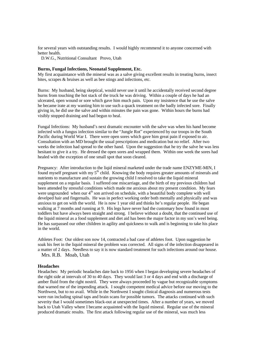for several years with outstanding results. I would highly recommend it to anyone concerned with better health.

D.W.G., Nutritional Consultant Provo, Utah

#### **Burns, Fungal Infections, Neonatal Supplement, Etc.**

My first acquaintance with the mineral was as a salve giving excellent results in treating burns, insect bites, scrapes & bruises as well as bee stings and infections, etc.

Burns: My husband, being skeptical, would never use it until he accidentally received second degree burns from touching the hot stack of the truck he was driving. Within a couple of days he had an ulcerated, open wound or sore which gave him much pain. Upon my insistence that he use the salve he became irate at my wanting him to use such a quack treatment on the badly infected sore. Finally giving in, he did use the salve and within minutes the pain was gone. Within hours the burns had visibly stopped draining and had begun to heal.

Fungal Infections: My husband's next dramatic encounter with the salve was when his hand become infected with a fungus infection similar to the "Jungle Rot" experienced by our troops in the South Pacific during World War I. There were open sores which gave him great pain if exposed to air. Consultation with an MD brought the usual prescriptions and medication but no relief. After two weeks the infection had spread to the other hand. Upon the suggestion that he try the salve he was less hesitant to give it a try. He dressed the open sores and wrapped them. Within one week the sores had healed with the exception of one small spot that soon cleared.

Pregnancy: After introduction to the liqid mineral marketed under the trade name ENZYME-MIN, I found myself pregnant with my  $5<sup>th</sup>$  child. Knowing the body requires greater amounts of minerals and nutrients to manufacture and sustain the growing child I resolved to take the liquid mineral supplement on a regular basis. I suffered one miscarriage, and the birth of my previous children had been attended by stressful conditions which made me anxious about my present condition. My fears were ungrounded when our  $4<sup>th</sup>$  son arrived on schedule, with a beautiful body complete with well develped hair and fingernails. He was in perfect working order both mentally and physically and was anxious to get on with the world. He is now 1 year old and thinks he's regular people. He began walking at 7 months and running at 9. His legs have never had the customary bow found in most toddlers but have always been straight and strong. I believe without a doubt, that the continued use of the liquid mineral as a food supplement and diet aid has been the major factor in my son's weel being. He has surpassed our other children in agility and quickness to walk and is beginning to take his place in the world.

Athletes Foot: Our oldest son now 14, contracted a bad case of athletes foot. Upon suggestion he soak his feet in the liquid mineral the problem was corrected. All signs of the infection disappeared in a matter of 2 days. Needless to say it is now standard treatment for such infections around our house. Mrs. R.B. Moab, Utah

#### **Headaches**

Headaches: My periodic headaches date back to 1956 when I began developing severe headaches of the right side at intervals of 30 to 40 days. They would last 3 or 4 days and end with a discharge of amber fluid from the right nostril. They were always proceeded by vague but recognizable symptoms that warned me of the impending attack. I sought competent medical advice before our moving to the Northwest, but to no avail. While in the Northwest I sought clinical diagnosis and numerous tests were run including spinal taps and brain scans for possible tumors. The attacks continued with such severity that I would sometimes black-out at unexpected times. After a number of years, we moved back to Utah Valley where I became acquainted with the liquid mineral. Regular use of the mineral produced dramatic results. The first attack following regular use of the mineral, was much less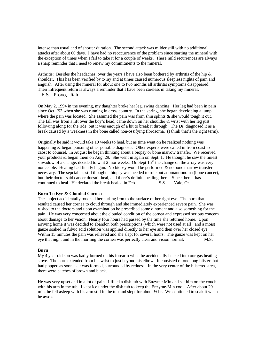intense than usual and of shorter duration. The second attack was milder still with no additional attacks after about 60 days. I have had no reoccurrence of the problem since starting the mineral with the exception of times when I fail to take it for a couple of weeks. These mild recurrences are always a sharp reminder that I need to renew my commitments to the mineral.

Arthritis: Besides the headaches, over the years I have also been bothered by arthritis of the hip & shoulder. This has been verified by x-ray and at times caused numerous sleepless nights of pain and anguish. After using the mineral for about one to two months all arthritis symptoms disappeared. Their infrequent return is always a reminder that I have been careless in taking my mineral.

```
 E.S. Provo, Utah
```
On May 2, 1994 in the evening, my daughter broke her leg, swing dancing. Her leg had been in pain since Oct. '93 when she was running in cross country. In the spring, she began developing a lump where the pain was located. She assumed the pain was from shin splints  $\&$  she would tough it out. The fall was from a lift over the boy's head, came down on her shoulder  $\&$  wrist with her leg just following along for the ride, but it was enough of a hit to break it through. The Dr. diagnosed it as a break caused by a weakness in the bone called non-ossifying fibrosoma. (I think that's the right term).

Originally he said it would take 10 weeks to heal, but as time went on he realized nothing was happening & began pursuing other possible diagnosis. Other experts were called in from coast to caost to counsel. In August he began thinking about a biopsy or bone marrow transfer. We received your products & began them on Aug. 29. She went in again on Sept. 1. He thought he saw the tiniest shwadow of a change, decided to wait 2 mor weeks. On Sept  $15<sup>th</sup>$  the change on the x-ray was very noticeable. Healing had finally begun. No biopsy would be performed & no bone marrow transfer necessary. The sepcialists still thought a biopsy was needed to rule out adomantionoma (bone cancer), but their doctor said cancer doesn't heal, and there's definite healing there. Since then it has continued to heal. He declared the break healed in Feb. S.S. Vale, Or.

#### **Burn To Eye & Clouded Cornea**

The subject accidentally touched her curling iron to the surface of her right eye. The burn that resulted caused her cornea to cloud through and she immediately experienced severe pain. She was rushed to the doctors and upon examination he prescribed some ointment and also something for the pain. He was very concerned about the clouded condition of the cornea and expressed serious concern about damage to her vision. Nearly four hours had passed by the time she returned home. Upon arriving home it was decided to abandon both prescriptions (which were not used at all) and a moist gauze soaked in fulvic acid solution was applied directly to her eye and then over her closed eye. Within 15 minutes the pain was relieved and she slept for several hours. The gauze was kept on her eye that night and in the morning the cornea was perfectly clear and vision normal. M.S.

#### **Burn**

My 4 year old son was badly burned on his forearm when he accidentally backed into our gas heating stove. The burn extended from his wrist to just beyond his elbow. It consisted of one long blister that had popped as soon as it was formed, surrounded by redness. In the very center of the blistered area, there were patches of brown and black.

He was very upset and in a lot of pain. I filled a dish tub with Enzyme-Min and sat him on the couch with his arm in the tub. I kept ice under the dish tub to keep the Enzyme-Min cool. After about 20 min. he fell asleep with his arm still in the tub and slept for about  $\frac{1}{2}$  hr. We continued to soak it when he awoke.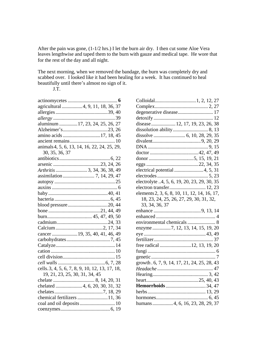After the pain was gone, (1-1/2 hrs.) I let the burn air dry. I then cut some Aloe Vera leaves lengthwise and taped them to the burn with gauze and medical tape. He wore that for the rest of the day and all night.

The next morning, when we removed the bandage, the burn was completely dry and scabbed over. I looked like it had been healing for a week. It has continued to heal beautifully until there's almost no sign of it.

J.T.

| . 6                                             |
|-------------------------------------------------|
| agricultural 4, 9, 11, 18, 36, 37               |
|                                                 |
|                                                 |
| aluminum  17, 23, 24, 25, 26, 27                |
|                                                 |
| amino acids 17, 18, 45                          |
|                                                 |
| animals 4, 5, 6, 13, 14, 16, 22, 24, 25, 29,    |
| 30, 35, 36, 37                                  |
|                                                 |
|                                                 |
|                                                 |
|                                                 |
|                                                 |
|                                                 |
|                                                 |
|                                                 |
|                                                 |
|                                                 |
|                                                 |
|                                                 |
|                                                 |
| cancer  19, 35, 40, 41, 46, 49                  |
|                                                 |
|                                                 |
|                                                 |
|                                                 |
|                                                 |
| cells. 3, 4, 5, 6, 7, 8, 9, 10, 12, 13, 17, 18, |
| 19, 21, 23, 25, 30, 31, 34, 45                  |
|                                                 |
| chelated  4, 6, 20, 30, 31, 32                  |
|                                                 |
| chemical fertilizers 11, 36                     |
|                                                 |
|                                                 |
|                                                 |

| degenerative disease 17                      |
|----------------------------------------------|
|                                              |
| disease  12, 17, 19, 23, 26, 38              |
|                                              |
|                                              |
|                                              |
|                                              |
|                                              |
|                                              |
|                                              |
|                                              |
|                                              |
| electrolyte 4, 5, 6, 19, 20, 23, 29, 30, 35  |
| electron transfer 12, 23                     |
| elements 2, 3, 6, 8, 10, 11, 12, 14, 16, 17, |
| 18, 23, 24, 25, 26, 27, 29, 30, 31, 32,      |
| 33, 34, 36, 37                               |
|                                              |
|                                              |
|                                              |
| enzyme 7, 12, 13, 14, 15, 19, 20             |
|                                              |
|                                              |
| free radical 12, 13, 19, 20                  |
|                                              |
|                                              |
| growth . 6, 7, 9, 14, 17, 21, 24, 25, 28, 43 |
|                                              |
|                                              |
|                                              |
| Hemorrhoids  34, 47                          |
|                                              |
|                                              |
| humans4, 6, 16, 23, 28, 29, 37               |